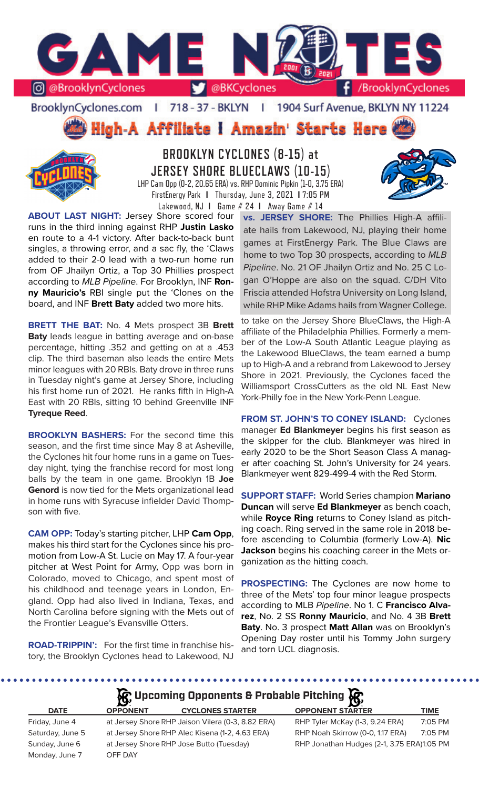

BrooklynCyclones.com | 718 - 37 - BKLYN | 1904 Surf Avenue, BKLYN NY 11224





**BROOKLYN CYCLONES (8-15) at JERSEY SHORE BLUECLAWS (10-15)** LHP Cam Opp (0-2, 20.65 ERA) vs. RHP Dominic Pipkin (1-0, 3.75 ERA) FirstEnergy Park **I** Thursday, June 3, 2021 **I** 7:05 PM Lakewood, NJ **I** Game # 24 **I** Away Game # 14

**ABOUT LAST NIGHT:** Jersey Shore scored four runs in the third inning against RHP **Justin Lasko**  en route to a 4-1 victory. After back-to-back bunt singles, a throwing error, and a sac fly, the 'Claws added to their 2-0 lead with a two-run home run

from OF Jhailyn Ortiz, a Top 30 Phillies prospect according to *MLB Pipeline*. For Brooklyn, INF **Ronny Mauricio's** RBI single put the 'Clones on the board, and INF **Brett Baty** added two more hits.

**BRETT THE BAT:** No. 4 Mets prospect 3B **Brett Baty** leads league in batting average and on-base percentage, hitting .352 and getting on at a .453 clip. The third baseman also leads the entire Mets minor leagues with 20 RBIs. Baty drove in three runs in Tuesday night's game at Jersey Shore, including his first home run of 2021. He ranks fifth in High-A East with 20 RBIs, sitting 10 behind Greenville INF **Tyreque Reed**.

**BROOKLYN BASHERS:** For the second time this season, and the first time since May 8 at Asheville, the Cyclones hit four home runs in a game on Tuesday night, tying the franchise record for most long balls by the team in one game. Brooklyn 1B **Joe Genord** is now tied for the Mets organizational lead in home runs with Syracuse infielder David Thompson with five.

**CAM OPP:** Today's starting pitcher, LHP **Cam Opp**, makes his third start for the Cyclones since his promotion from Low-A St. Lucie on May 17. A four-year pitcher at West Point for Army, Opp was born in Colorado, moved to Chicago, and spent most of his childhood and teenage years in London, England. Opp had also lived in Indiana, Texas, and North Carolina before signing with the Mets out of the Frontier League's Evansville Otters.

**ROAD-TRIPPIN':** For the first time in franchise history, the Brooklyn Cyclones head to Lakewood, NJ

**vs. JERSEY SHORE:** The Phillies High-A affiliate hails from Lakewood, NJ, playing their home games at FirstEnergy Park. The Blue Claws are home to two Top 30 prospects, according to *MLB Pipeline*. No. 21 OF Jhailyn Ortiz and No. 25 C Logan O'Hoppe are also on the squad. C/DH Vito Friscia attended Hofstra University on Long Island, while RHP Mike Adams hails from Wagner College.

to take on the Jersey Shore BlueClaws, the High-A affiliate of the Philadelphia Phillies. Formerly a member of the Low-A South Atlantic League playing as the Lakewood BlueClaws, the team earned a bump up to High-A and a rebrand from Lakewood to Jersey Shore in 2021. Previously, the Cyclones faced the Williamsport CrossCutters as the old NL East New York-Philly foe in the New York-Penn League.

**FROM ST. JOHN'S TO CONEY ISLAND:** Cyclones manager **Ed Blankmeyer** begins his first season as the skipper for the club. Blankmeyer was hired in early 2020 to be the Short Season Class A manager after coaching St. John's University for 24 years. Blankmeyer went 829-499-4 with the Red Storm.

**SUPPORT STAFF:** World Series champion **Mariano Duncan** will serve **Ed Blankmeyer** as bench coach, while **Royce Ring** returns to Coney Island as pitching coach. Ring served in the same role in 2018 before ascending to Columbia (formerly Low-A). **Nic Jackson** begins his coaching career in the Mets organization as the hitting coach.

**PROSPECTING:** The Cyclones are now home to three of the Mets' top four minor league prospects according to MLB *Pipeline*. No 1. C **Francisco Alvarez**, No. 2 SS **Ronny Mauricio**, and No. 4 3B **Brett Baty**. No. 3 prospect **Matt Allan** was on Brooklyn's Opening Day roster until his Tommy John surgery and torn UCL diagnosis.

# **A**: Upcoming Opponents & Probable Pitching  $\mathbb{R}$

|                  | $\mathbf{B}$    |                                                   | $-132$                                     |             |
|------------------|-----------------|---------------------------------------------------|--------------------------------------------|-------------|
| <b>DATE</b>      | <b>OPPONENT</b> | <b>CYCLONES STARTER</b>                           | <b>OPPONENT STARTER</b>                    | <b>TIME</b> |
| Friday, June 4   |                 | at Jersey Shore RHP Jaison Vilera (0-3, 8.82 ERA) | RHP Tyler McKay (1-3, 9.24 ERA)            | 7:05 PM     |
| Saturday, June 5 |                 | at Jersey Shore RHP Alec Kisena (1-2, 4.63 ERA)   | RHP Noah Skirrow (0-0, 1.17 ERA)           | 7:05 PM     |
| Sunday, June 6   |                 | at Jersey Shore RHP Jose Butto (Tuesday)          | RHP Jonathan Hudges (2-1, 3.75 ERA)1:05 PM |             |
| Monday, June 7   | OFF DAY         |                                                   |                                            |             |
|                  |                 |                                                   |                                            |             |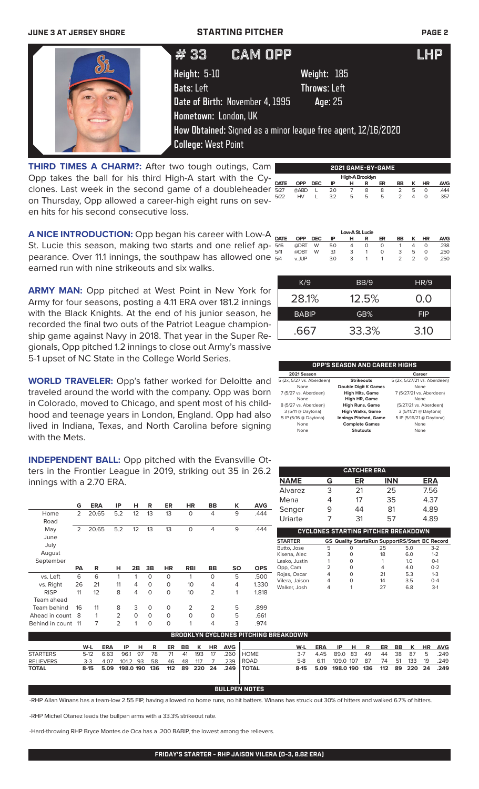### **JUNE 3 AT JERSEY SHORE STARTING PITCHER PAGE 2**

| $\omega_{\text{z}}$ | # 33                       | 'CAM OPP.                       |                                                               | LHP |
|---------------------|----------------------------|---------------------------------|---------------------------------------------------------------|-----|
|                     | Height: 5-10               |                                 | Weight: 185                                                   |     |
|                     | Bats: Left                 |                                 | <b>Throws: Left</b>                                           |     |
|                     |                            | Date of Birth: November 4, 1995 | Age: 25                                                       |     |
|                     | Hometown: London, UK       |                                 |                                                               |     |
|                     |                            |                                 | How Obtained: Signed as a minor league free agent, 12/16/2020 |     |
|                     | <b>College: West Point</b> |                                 |                                                               |     |

**High-A Brooklyr**<br>**DATE OPP DEC IP H R DATE OPP DEC IP H R ER BB K HR AVG** 5/27 @ABD L 2.0 7 8 8 2 5 0 .444 5/22 HV L 3.2 5 5 5 2 4 0 .357 **THIRD TIMES A CHARM?:** After two tough outings, Cam Opp takes the ball for his third High-A start with the Cyclones. Last week in the second game of a doubleheader on Thursday, Opp allowed a career-high eight runs on sev-  $522$ en hits for his second consecutive loss.

|             |            |            |     | Low-A St. Lucie |   |    |    |   |           |            |
|-------------|------------|------------|-----|-----------------|---|----|----|---|-----------|------------|
| <b>DATE</b> | <b>OPP</b> | <b>DEC</b> | ΙP  | н               | R | ER | BB | κ | <b>HR</b> | <b>AVG</b> |
| 5/16        | @DBT       | W          | 5.0 | 4               | 0 | Ο  |    | 4 | O         | .238       |
| 5/11        | @DBT       | W          | 3.1 | 3               |   | Ο  | 3  | b | O         | .250       |

**2021 GAME-BY-GAME**

**A NICE INTRODUCTION:** Opp began his career with Low-A St. Lucie this season, making two starts and one relief appearance. Over 11.1 innings, the southpaw has allowed one  $\frac{5}{94}$ earned run with nine strikeouts and six walks. 5/4 v. JUP 3.0 3 1 1 2 2 0 .250

**ARMY MAN:** Opp pitched at West Point in New York for Army for four seasons, posting a 4.11 ERA over 181.2 innings with the Black Knights. At the end of his junior season, he recorded the final two outs of the Patriot League championship game against Navy in 2018. That year in the Super Regionals, Opp pitched 1.2 innings to close out Army's massive 5-1 upset of NC State in the College World Series.

**WORLD TRAVELER:** Opp's father worked for Deloitte and traveled around the world with the company. Opp was born in Colorado, moved to Chicago, and spent most of his childhood and teenage years in London, England. Opp had also lived in Indiana, Texas, and North Carolina before signing with the Mets.

**INDEPENDENT BALL:** Opp pitched with the Evansville Otters in the Frontier League in 2019, striking out 35 in 26.2 innings with a 2.70 ERA.

|                | G              | <b>ERA</b> | ΙP             | н        | R        | ER        | HR          | BB             | к         | <b>AVG</b> |
|----------------|----------------|------------|----------------|----------|----------|-----------|-------------|----------------|-----------|------------|
| Home           | $\overline{2}$ | 20.65      | 5.2            | 12       | 13       | 13        | $\circ$     | $\overline{4}$ | 9         | .444       |
| Road           |                |            |                |          |          |           |             |                |           |            |
| May            | $\overline{2}$ | 20.65      | 5.2            | 12       | 13       | 13        | $\mathbf 0$ | 4              | 9         | .444       |
| June           |                |            |                |          |          |           |             |                |           |            |
| July           |                |            |                |          |          |           |             |                |           |            |
| August         |                |            |                |          |          |           |             |                |           |            |
| September      |                |            |                |          |          |           |             |                |           |            |
|                |                |            |                |          |          |           |             |                |           |            |
|                | <b>PA</b>      | R          | н              | 2B       | 3B       | <b>HR</b> | <b>RBI</b>  | BB             | <b>SO</b> | <b>OPS</b> |
| vs. Left       | 6              | 6          | 1              | 1        | $\Omega$ | $\Omega$  | 1           | $\Omega$       | 5         | .500       |
| vs. Right      | 26             | 21         | 11             | 4        | 0        | $\Omega$  | 10          | 4              | 4         | 1.330      |
| <b>RISP</b>    | 11             | 12         | 8              | 4        | $\Omega$ | $\Omega$  | 10          | $\overline{2}$ | 1         | 1.818      |
| Team ahead     |                |            |                |          |          |           |             |                |           |            |
| Team behind    | 16             | 11         | 8              | 3        | 0        | $\Omega$  | 2           | 2              | 5         | .899       |
| Ahead in count | 8              | 1          | $\overline{2}$ | $\Omega$ | $\Omega$ | $\Omega$  | $\circ$     | $\Omega$       | 5         | .661       |

| K/9          | BB/9  | HR/9       |
|--------------|-------|------------|
| 28.1%        | 12.5% | 0.0        |
| <b>BABIP</b> | GB%   | <b>FIP</b> |
| .667         | 33.3% | 3.10       |

### **OPP'S SEASON AND CAREER HIGHS**

| 2021 Season               |                              | Career                       |
|---------------------------|------------------------------|------------------------------|
| 5 (2x, 5/27 vs. Aberdeen) | <b>Strikeouts</b>            | 5 (2x, 5/27/21 vs. Aberdeen) |
| None                      | <b>Double Digit K Games</b>  | None                         |
| 7 (5/27 vs. Aberdeen)     | <b>High Hits, Game</b>       | 7 (5/27/21 vs. Aberdeen)     |
| None                      | High HR, Game                | None                         |
| 8 (5/27 vs. Aberdeen)     | <b>High Runs, Game</b>       | (5/27/21 vs. Aberdeen)       |
| 3 (5/11 @ Daytona)        | <b>High Walks, Game</b>      | 3 (5/11/21 @ Daytona)        |
| 5 IP (5/16 @ Daytona)     | <b>Innings Pitched, Game</b> | 5 IP (5/16/21 @ Daytona)     |
| None                      | <b>Complete Games</b>        | None                         |
| None                      | <b>Shutouts</b>              | None                         |

|                                            | <b>CATCHER ERA</b> |    |            |                                                       |  |  |  |  |  |  |
|--------------------------------------------|--------------------|----|------------|-------------------------------------------------------|--|--|--|--|--|--|
| <b>NAME</b>                                | G                  | ER | <b>INN</b> | <b>ERA</b>                                            |  |  |  |  |  |  |
| Alvarez                                    | 3                  | 21 | 25         | 7.56                                                  |  |  |  |  |  |  |
| Mena                                       | 4                  | 17 | 35         | 4.37                                                  |  |  |  |  |  |  |
| Senger                                     | 9                  | 44 | 81         | 4.89                                                  |  |  |  |  |  |  |
| Uriarte                                    | 7                  | 31 | 57         | 4.89                                                  |  |  |  |  |  |  |
| <b>CYCLONES STARTING PITCHER BREAKDOWN</b> |                    |    |            |                                                       |  |  |  |  |  |  |
| <b>STARTER</b>                             |                    |    |            | <b>GS Quality StartsRun SupportRS/Start BC Record</b> |  |  |  |  |  |  |

| <b>STARTER</b> |   | <b>GS Quality StartsRun SupportRS/Start BC Record</b> |    |                |         |
|----------------|---|-------------------------------------------------------|----|----------------|---------|
| Butto, Jose    | 5 |                                                       | 25 | 5.0            | $3-2$   |
| Kisena, Alec   | 3 |                                                       | 18 | 6.0            | $1 - 2$ |
| Lasko, Justin  |   |                                                       |    | 1 <sub>0</sub> | $O-1$   |
| Opp, Cam       |   |                                                       | 4  | 4.0            | $0 - 2$ |
| Rojas, Oscar   | 4 |                                                       | 21 | 5.3            | $1 - 3$ |
| Vilera, Jaison | 4 |                                                       | 14 | 3.5            | $0 - 4$ |
| Walker, Josh   |   |                                                       | つフ | 68             | $3-1$   |
|                |   |                                                       |    |                |         |

| <b>BROOKLYN CYCLONES PITCHING BREAKDOWN</b> |     |                                |  |  |  |              |  |  |  |                       |                                                  |       |                                            |                                |  |  |            |      |
|---------------------------------------------|-----|--------------------------------|--|--|--|--------------|--|--|--|-----------------------|--------------------------------------------------|-------|--------------------------------------------|--------------------------------|--|--|------------|------|
|                                             | W-L | ERA                            |  |  |  |              |  |  |  | IP H R ER BB K HR AVG |                                                  | W-L   | ERA                                        | IP H R ER BB K HR AVG          |  |  |            |      |
| <b>STARTERS</b>                             |     | 5-12 6.63 96.1 97 78           |  |  |  | 71 41 193 17 |  |  |  | 260                   | <b>I</b> HOME                                    | $3-7$ | 4.45 89.0 83 49                            |                                |  |  | 44 38 87 5 | .249 |
| RELIEVERS                                   |     | 3-3 4.07 101.2 93 58 46 48 117 |  |  |  |              |  |  |  |                       | .239 ROAD                                        |       | 5-8 6.11                                   | 109.0 107 87 74 51 133 19 .249 |  |  |            |      |
| <b>TOTAL</b>                                |     |                                |  |  |  |              |  |  |  |                       | 8-15 5.09 198.0 190 136 112 89 220 24 .249 TOTAL |       | 8-15 5.09 198.0 190 136 112 89 220 24 .249 |                                |  |  |            |      |
|                                             |     |                                |  |  |  |              |  |  |  |                       |                                                  |       |                                            |                                |  |  |            |      |

### **BULLPEN NOTES**

-RHP Allan Winans has a team-low 2.55 FIP, having allowed no home runs, no hit batters. Winans has struck out 30% of hitters and walked 6.7% of hitters.

-RHP Michel Otanez leads the bullpen arms with a 33.3% strikeout rate.

-Hard-throwing RHP Bryce Montes de Oca has a .200 BABIP, the lowest among the relievers.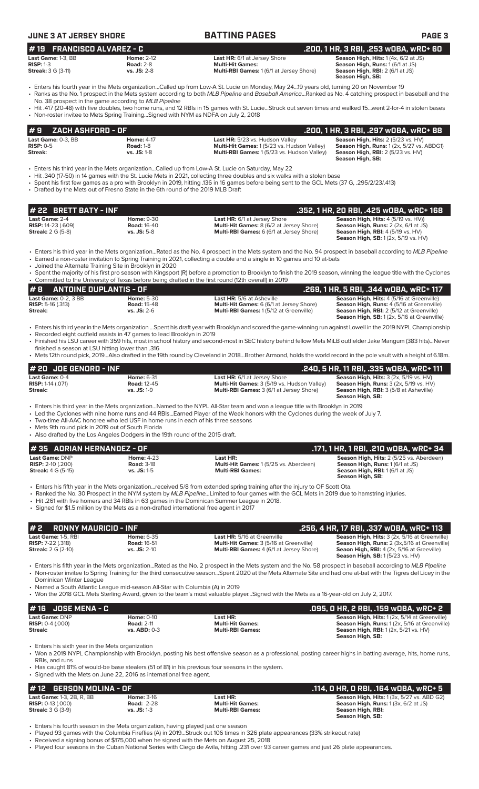| <b>JUNE 3 AT JERSEY SHORE</b>                                                  |                                                                                          | <b>BATTING PAGES</b>                                                                                                                                                                                                                                                                                                                                                                                                                                                                                 | <b>PAGE 3</b>                                                                                                                                                                   |
|--------------------------------------------------------------------------------|------------------------------------------------------------------------------------------|------------------------------------------------------------------------------------------------------------------------------------------------------------------------------------------------------------------------------------------------------------------------------------------------------------------------------------------------------------------------------------------------------------------------------------------------------------------------------------------------------|---------------------------------------------------------------------------------------------------------------------------------------------------------------------------------|
|                                                                                |                                                                                          |                                                                                                                                                                                                                                                                                                                                                                                                                                                                                                      |                                                                                                                                                                                 |
| #19<br><b>FRANCISCO ALVAREZ - C</b><br>Last Game: 1-3, BB                      | <b>Home: 2-12</b>                                                                        | Last HR: 6/1 at Jersey Shore                                                                                                                                                                                                                                                                                                                                                                                                                                                                         | .200, 1 HR, 3 RBI, .253 wOBA, wRC+ 60<br>Season High, Hits: 1 (4x, 6/2 at JS)                                                                                                   |
| <b>RISP: 1-3</b><br><b>Streak:</b> 3 G (3-11)                                  | <b>Road: 2-8</b><br>vs. JS: 2-8                                                          | <b>Multi-Hit Games:</b><br>Multi-RBI Games: 1 (6/1 at Jersey Shore)                                                                                                                                                                                                                                                                                                                                                                                                                                  | Season High, Runs: 1 (6/1 at JS)<br>Season High, RBI: 2 (6/1 at JS)<br>Season High, SB:                                                                                         |
|                                                                                | No. 38 prospect in the game according to MLB Pipeline                                    | • Enters his fourth year in the Mets organizationCalled up from Low-A St. Lucie on Monday, May 2419 years old, turning 20 on November 19<br>· Ranks as the No. 1 prospect in the Mets system according to both MLB Pipeline and Baseball AmericaRanked as No. 4 catching prospect in baseball and the                                                                                                                                                                                                |                                                                                                                                                                                 |
|                                                                                | • Non-roster invitee to Mets Spring TrainingSigned with NYM as NDFA on July 2, 2018      | • Hit .417 (20-48) with five doubles, two home runs, and 12 RBIs in 15 games with St. LucieStruck out seven times and walked 15went 2-for-4 in stolen bases                                                                                                                                                                                                                                                                                                                                          |                                                                                                                                                                                 |
| <b>ZACH ASHFORD - OF</b><br>#9                                                 |                                                                                          |                                                                                                                                                                                                                                                                                                                                                                                                                                                                                                      | .200, 1 HR, 3 RBI, .297 wOBA, wRC+ 88                                                                                                                                           |
| Last Game: 0-3, BB<br><b>RISP: 0-5</b><br>Streak:                              | <b>Home: 4-17</b><br><b>Road: 1-8</b><br>vs. JS: 1-8                                     | Last HR: 5/23 vs. Hudson Valley<br>Multi-Hit Games: 1 (5/23 vs. Hudson Valley)<br>Multi-RBI Games: 1 (5/23 vs. Hudson Valley)                                                                                                                                                                                                                                                                                                                                                                        | Season High, Hits: 2 (5/23 vs. HV)<br>Season High, Runs: 1 (2x, 5/27 vs. ABDG1)<br>Season High, RBI: 2 (5/23 vs. HV)<br>Season High, SB:                                        |
|                                                                                | • Drafted by the Mets out of Fresno State in the 6th round of the 2019 MLB Draft         | Enters his third year in the Mets organizationCalled up from Low-A St. Lucie on Saturday, May 22<br>• Hit .340 (17-50) in 14 games with the St. Lucie Mets in 2021, collecting three doubles and six walks with a stolen base<br>• Spent his first few games as a pro with Brooklyn in 2019, hitting 136 in 16 games before being sent to the GCL Mets (37 G, .295/2/23/.413)                                                                                                                        |                                                                                                                                                                                 |
| # 22 BRETT BATY - INF                                                          |                                                                                          |                                                                                                                                                                                                                                                                                                                                                                                                                                                                                                      | .352, 1 HR, 20 RBI, .425 w0BA, wRC+ 168                                                                                                                                         |
| Last Game: 2-4<br><b>RISP: 14-23 (.609)</b><br><b>Streak:</b> 2 G (5-8)        | <b>Home: 9-30</b><br><b>Road: 16-40</b><br>vs. JS: 5-8                                   | Last HR: 6/1 at Jersey Shore<br>Multi-Hit Games: 8 (6/2 at Jersey Shore)<br>Multi-RBI Games: 6 (6/1 at Jersey Shore)                                                                                                                                                                                                                                                                                                                                                                                 | Season High, Hits: 4 (5/19 vs. HV))<br>Season High, Runs: 2 (2x, 6/1 at JS)<br><b>Season High, RBI: 4 (5/19 vs. HV)</b><br><b>Season High, SB:</b> 1 (2x, 5/19 vs. HV)          |
|                                                                                | • Joined the Alternate Training Site in Brooklyn in 2020                                 | • Enters his third year in the Mets organizationRated as the No. 4 prospect in the Mets system and the No. 94 prospect in baseball according to MLB Pipeline<br>• Earned a non-roster invitation to Spring Training in 2021, collecting a double and a single in 10 games and 10 at-bats<br>• Spent the majority of his first pro season with Kingsport (R) before a promotion to Brooklyn to finish the 2019 season, winning the league title with the Cyclones                                     |                                                                                                                                                                                 |
|                                                                                |                                                                                          | • Committed to the University of Texas before being drafted in the first round (12th overall) in 2019                                                                                                                                                                                                                                                                                                                                                                                                |                                                                                                                                                                                 |
| #8<br><b>ANTOINE DUPLANTIS - OF</b>                                            |                                                                                          |                                                                                                                                                                                                                                                                                                                                                                                                                                                                                                      | .269, 1 HR, 5 RBI, .344 WOBA, WRC+ 117<br>Season High, Hits: 4 (5/16 at Greenville)                                                                                             |
| Last Game: 0-2, 3 BB<br><b>RISP:</b> 5-16 $(.313)$<br>Streak:                  | <b>Home: 5-30</b><br><b>Road: 15-48</b><br>$vs.$ JS: $2-6$                               | <b>Last HR:</b> 5/6 at Asheville<br>Multi-Hit Games: 6 (6/1 at Jersey Shore)<br><b>Multi-RBI Games:</b> 1 (5/12 at Greenville)                                                                                                                                                                                                                                                                                                                                                                       | Season High, Runs: 4 (5/16 at Greenville)<br><b>Season High, RBI:</b> 2 (5/12 at Greenville)<br><b>Season High, SB:</b> 1 (2x, 5/16 at Greenville)                              |
| finished a season at LSU hitting lower than .316                               | • Recorded eight outfield assists in 47 games to lead Brooklyn in 2019                   | · Enters his third year in the Mets organization Spent his draft year with Brooklyn and scored the game-winning run against Lowell in the 2019 NYPL Championship<br>• Finished his LSU career with 359 hits, most in school history and second-most in SEC history behind fellow Mets MiLB outfielder Jake Mangum (383 hits)Never<br>• Mets 12th round pick, 2019Also drafted in the 19th round by Cleveland in 2018Brother Armond, holds the world record in the pole vault with a height of 6.18m. |                                                                                                                                                                                 |
|                                                                                |                                                                                          |                                                                                                                                                                                                                                                                                                                                                                                                                                                                                                      | .240, 5 HR, 11 RBI, .335 wOBA, wRC+ 111                                                                                                                                         |
| # 20 JOE GENORD - INF<br>Last Game: 0-4<br><b>RISP: 1-14 (.071)</b><br>Streak: | <b>Home: 6-31</b><br><b>Road: 12-45</b><br>vs. JS: 1-9                                   | Last HR: 6/1 at Jersey Shore<br>Multi-Hit Games: 3 (5/19 vs. Hudson Valley)<br>Multi-RBI Games: 3 (6/1 at Jersey Shore)                                                                                                                                                                                                                                                                                                                                                                              | Season High, Hits: 3 (2x, 5/19 vs. HV)<br>Season High, Runs: 3 (2x, 5/19 vs. HV)<br>Season High, RBI: 3 (5/8 at Asheville)<br>Season High, SB:                                  |
| • Mets 9th round pick in 2019 out of South Florida                             | • Two-time All-AAC honoree who led USF in home runs in each of his three seasons         | • Enters his third year in the Mets organizationNamed to the NYPL All-Star team and won a league title with Brooklyn in 2019<br>• Led the Cyclones with nine home runs and 44 RBIsEarned Player of the Week honors with the Cyclones during the week of July 7.                                                                                                                                                                                                                                      |                                                                                                                                                                                 |
|                                                                                | • Also drafted by the Los Angeles Dodgers in the 19th round of the 2015 draft.           |                                                                                                                                                                                                                                                                                                                                                                                                                                                                                                      |                                                                                                                                                                                 |
| <b>ADRIAN HERNANDEZ - OF</b><br>#35<br>Last Game: DNP                          | <b>Home: 4-23</b>                                                                        | Last HR:                                                                                                                                                                                                                                                                                                                                                                                                                                                                                             | .171, 1 HR, 1 RBI, .210 wOBA, wRC+ 34<br>Season High, Hits: 2 (5/25 vs. Aberdeen)                                                                                               |
| <b>RISP:</b> $2-10$ (.200)<br><b>Streak:</b> 4 G (5-15)                        | <b>Road: 3-18</b><br>$vs.$ JS: $1-5$                                                     | Multi-Hit Games: 1 (5/25 vs. Aberdeen)<br><b>Multi-RBI Games:</b>                                                                                                                                                                                                                                                                                                                                                                                                                                    | Season High, Runs: 1 (6/1 at JS)<br>Season High, RBI: 1 (6/1 at JS)<br>Season High, SB:                                                                                         |
|                                                                                | • Signed for \$1.5 million by the Mets as a non-drafted international free agent in 2017 | • Enters his fifth year in the Mets organizationreceived 5/8 from extended spring training after the injury to OF Scott Ota.<br>• Ranked the No. 30 Prospect in the NYM system by MLB PipelineLimited to four games with the GCL Mets in 2019 due to hamstring injuries.<br>• Hit .261 with five homers and 34 RBIs in 63 games in the Dominican Summer League in 2018.                                                                                                                              |                                                                                                                                                                                 |
| <b>RONNY MAURICIO - INF</b><br>#2                                              |                                                                                          |                                                                                                                                                                                                                                                                                                                                                                                                                                                                                                      | .256, 4 HR, 17 RBI, .337 wOBA, wRC+ 113                                                                                                                                         |
| Last Game: 1-5, RBI<br><b>RISP:</b> 7-22 (.318)<br><b>Streak:</b> 2 G (2-10)   | <b>Home: 6-35</b><br><b>Road: 16-51</b><br>vs. JS: 2-10                                  | Last HR: 5/16 at Greenville<br>Multi-Hit Games: 3 (5/16 at Greenville)<br>Multi-RBI Games: 4 (6/1 at Jersey Shore)                                                                                                                                                                                                                                                                                                                                                                                   | Season High, Hits: 3 (2x, 5/16 at Greenville)<br>Season High, Runs: 2 (3x,5/16 at Greenville)<br>Seaon High, RBI: 4 (2x, 5/16 at Greeville)<br>Season High, SB: 1 (5/23 vs. HV) |
| Dominican Winter League                                                        |                                                                                          | • Enters his fifth year in the Mets organizationRated as the No. 2 prospect in the Mets system and the No. 58 prospect in baseball according to MLB Pipeline<br>• Non-roster invitee to Spring Training for the third consecutive seasonSpent 2020 at the Mets Alternate Site and had one at-bat with the Tigres del Licey in the                                                                                                                                                                    |                                                                                                                                                                                 |
|                                                                                | • Named a South Atlantic League mid-season All-Star with Columbia (A) in 2019            | • Won the 2018 GCL Mets Sterling Award, given to the team's most valuable playerSigned with the Mets as a 16-year-old on July 2, 2017.                                                                                                                                                                                                                                                                                                                                                               |                                                                                                                                                                                 |
| <b>JOSE MENA - C</b><br># 16                                                   |                                                                                          |                                                                                                                                                                                                                                                                                                                                                                                                                                                                                                      | .095, 0 HR, 2 RBI, .159 w0BA, wRC+ 2                                                                                                                                            |
| Last Game: DNP<br><b>RISP:</b> $0-4$ (.000)<br>Streak:                         | <b>Home: 0-10</b><br><b>Road: 2-11</b><br>vs. ABD: 0-3                                   | Last HR:<br><b>Multi-Hit Games:</b><br><b>Multi-RBI Games:</b>                                                                                                                                                                                                                                                                                                                                                                                                                                       | Season High, Hits: 1 (2x, 5/14 at Greenville)<br>Season High, Runs: 1 (2x, 5/16 at Greenville)<br>Season High, RBI: 1 (2x, 5/21 vs. HV)<br>Season High, SB:                     |
| • Enters his sixth year in the Mets organization<br>RBIs, and runs.            |                                                                                          | • Won a 2019 NYPL Championship with Brooklyn, posting his best offensive season as a professional, posting career highs in batting average, hits, home runs,                                                                                                                                                                                                                                                                                                                                         |                                                                                                                                                                                 |

• Has caught 81% of would-be base stealers (51 of 81) in his previous four seasons in the system.

• Signed with the Mets on June 22, 2016 as international free agent.

| #12 GERSON MOLINA - OF           |                   |                         | .114, O HR, O RBI, .164 wOBA, wRC+ 5              |
|----------------------------------|-------------------|-------------------------|---------------------------------------------------|
| <b>Last Game: 1-3, 2B, R, BB</b> | <b>Home: 3-16</b> | Last HR:                | <b>Season High, Hits: 1 (3x, 5/27 vs. ABD G2)</b> |
| <b>RISP:</b> $0-13$ $(.000)$     | <b>Road: 2-28</b> | <b>Multi-Hit Games:</b> | <b>Season High, Runs:</b> $1(3x, 6/2$ at JS)      |
| <b>Streak:</b> 3 G (3-9)         | $vs.$ JS: 1-3     | <b>Multi-RBI Games:</b> | Season High, RBI:                                 |
|                                  |                   |                         | Season High, SB:                                  |
|                                  |                   |                         |                                                   |

• Enters his fourth season in the Mets organization, having played just one season

• Played 93 games with the Columbia Fireflies (A) in 2019...Struck out 106 times in 326 plate appearances (33% strikeout rate)

• Received a signing bonus of \$175,000 when he signed with the Mets on August 25, 2018

• Played four seasons in the Cuban National Series with Ciego de Avila, hitting .231 over 93 career games and just 26 plate appearances.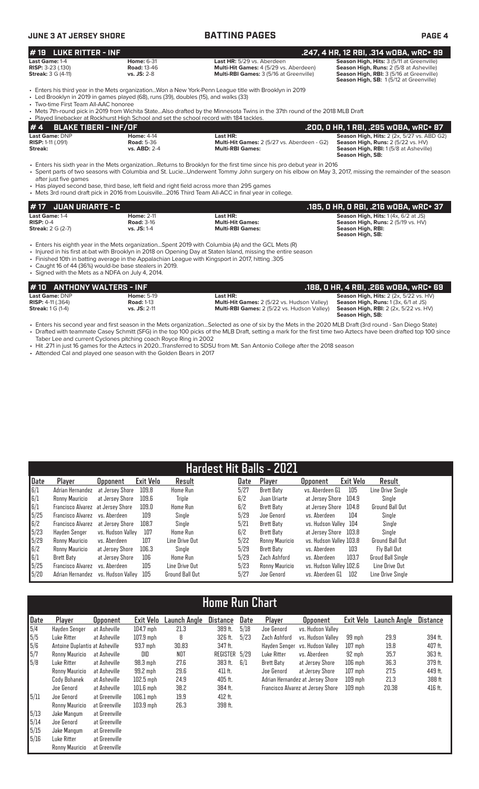| UNE 3 AT JERSEY SHORE |  |
|-----------------------|--|
|-----------------------|--|

| <b>JUNE 3 AT JERSEY SHORE</b>                                          |                                                                                                                                        | <b>BATTING PAGES</b>                                                                                                                                                                                                                                                                                                                                                                                                                                    | <b>PAGE 4</b>                                                                                                                                                              |
|------------------------------------------------------------------------|----------------------------------------------------------------------------------------------------------------------------------------|---------------------------------------------------------------------------------------------------------------------------------------------------------------------------------------------------------------------------------------------------------------------------------------------------------------------------------------------------------------------------------------------------------------------------------------------------------|----------------------------------------------------------------------------------------------------------------------------------------------------------------------------|
| <b>LUKE RITTER - INF</b><br># 19                                       |                                                                                                                                        |                                                                                                                                                                                                                                                                                                                                                                                                                                                         | .247, 4 HR, 12 RBI, .314 wOBA, wRC+ 99                                                                                                                                     |
| Last Game: 1-4<br>RISP: 3-23 (.130)<br><b>Streak:</b> 3 G (4-11)       | <b>Home: 6-31</b><br><b>Road: 13-46</b><br>$vs.$ JS: $2-8$                                                                             | Last HR: 5/29 vs. Aberdeen<br>Multi-Hit Games: 4 (5/29 vs. Aberdeen)<br>Multi-RBI Games: 3 (5/16 at Greenville)                                                                                                                                                                                                                                                                                                                                         | Season High, Hits: 3 (5/11 at Greenville)<br>Season High, Runs: 2 (5/8 at Asheville)<br>Season High, RBI: 3 (5/16 at Greenville)<br>Season High, SB: 1(5/12 at Greenville) |
| • Two-time First Team All-AAC honoree                                  | • Led Brooklyn in 2019 in games played (68), runs (39), doubles (15), and walks (33)                                                   | Enters his third year in the Mets organizationWon a New York-Penn League title with Brooklyn in 2019<br>• Mets 7th-round pick in 2019 from Wichita StateAlso drafted by the Minnesota Twins in the 37th round of the 2018 MLB Draft                                                                                                                                                                                                                     |                                                                                                                                                                            |
| <b>BLAKE TIBERI - INF/OF</b><br>#4                                     | . Played linebacker at Rockhurst High School and set the school record with 184 tackles.                                               |                                                                                                                                                                                                                                                                                                                                                                                                                                                         | .200, 0 HR, 1 RBI, .295 w0BA, wRC+ 87                                                                                                                                      |
| Last Game: DNP<br><b>RISP: 1-11 (.091)</b><br>Streak:                  | <b>Home: 4-14</b><br><b>Road: 5-36</b><br>vs. ABD: 2-4                                                                                 | Last HR:<br>Multi-Hit Games: 2 (5/27 vs. Aberdeen - G2)<br><b>Multi-RBI Games:</b>                                                                                                                                                                                                                                                                                                                                                                      | Season High, Hits: $2$ (2x, 5/27 vs. ABD G2)<br>Season High, Runs: 2 (5/22 vs. HV)<br>Season High, RBI: 1 (5/8 at Asheville)<br>Season High, SB:                           |
| after just five games                                                  | • Has played second base, third base, left field and right field across more than 295 games                                            | • Enters his sixth year in the Mets organizationReturns to Brooklyn for the first time since his pro debut year in 2016<br>· Spent parts of two seasons with Columbia and St. LucieUnderwent Tommy John surgery on his elbow on May 3, 2017, missing the remainder of the season<br>• Mets 3rd round draft pick in 2016 from Louisville2016 Third Team All-ACC in final year in college.                                                                |                                                                                                                                                                            |
| <b>JUAN URIARTE - C</b><br>#17                                         |                                                                                                                                        |                                                                                                                                                                                                                                                                                                                                                                                                                                                         | .185, O HR, O RBI, .216 wOBA, wRC+ 37                                                                                                                                      |
| Last Game: 1-4<br>$RISP: 0-4$<br><b>Streak: 2 G (2-7)</b>              | <b>Home: 2-11</b><br><b>Road: 3-16</b><br>vs. JS: 1-4                                                                                  | Last HR:<br><b>Multi-Hit Games:</b><br><b>Multi-RBI Games:</b>                                                                                                                                                                                                                                                                                                                                                                                          | Season High, Hits: 1 (4x, 6/2 at JS)<br>Season High, Runs: 2 (5/19 vs. HV)<br><b>Season High, RBI:</b><br>Season High, SB:                                                 |
| • Signed with the Mets as a NDFA on July 4, 2014.                      | • Caught 16 of 44 (36%) would-be base stealers in 2019.                                                                                | Enters his eighth year in the Mets organizationSpent 2019 with Columbia (A) and the GCL Mets (R)<br>· Injured in his first at-bat with Brooklyn in 2018 on Opening Day at Staten Island, missing the entire season<br>. Finished 10th in batting average in the Appalachian League with Kingsport in 2017, hitting .305                                                                                                                                 |                                                                                                                                                                            |
| # 10                                                                   | <b>ANTHONY WALTERS - INF</b>                                                                                                           |                                                                                                                                                                                                                                                                                                                                                                                                                                                         | .188, 0 HR, 4 RBI, .266 w0BA, wRC+ 69                                                                                                                                      |
| Last Game: DNP<br><b>RISP: 4-11 (.364)</b><br><b>Streak:</b> 1 G (1-4) | <b>Home: 5-19</b><br><b>Road: 1-13</b><br>vs. JS: 2-11                                                                                 | Last HR:<br>Multi-Hit Games: 2 (5/22 vs. Hudson Valley)<br>Multi-RBI Games: 2 (5/22 vs. Hudson Valley)                                                                                                                                                                                                                                                                                                                                                  | Season High, Hits: 2 (2x, 5/22 vs. HV)<br>Season High, Runs: 1(3x, 6/1 at JS)<br>Season High, RBI: 2 (2x, 5/22 vs. HV)<br>Season High, SB:                                 |
|                                                                        | Taber Lee and current Cyclones pitching coach Royce Ring in 2002<br>• Attended Cal and played one season with the Golden Bears in 2017 | • Enters his second year and first season in the Mets organizationSelected as one of six by the Mets in the 2020 MLB Draft (3rd round - San Diego State)<br>• Drafted with teammate Casey Schmitt (SFG) in the top 100 picks of the MLB Draft, setting a mark for the first time two Aztecs have been drafted top 100 since<br>• Hit .271 in just 16 games for the Aztecs in 2020Transferred to SDSU from Mt. San Antonio College after the 2018 season |                                                                                                                                                                            |

| Hardest Hit Balls - 2021 |                                   |                   |           |                 |      |                |                         |           |                          |
|--------------------------|-----------------------------------|-------------------|-----------|-----------------|------|----------------|-------------------------|-----------|--------------------------|
| Date                     | Player                            | <b>Opponent</b>   | Exit Velo | Result          | Date | Player         | <b>Opponent</b>         | Exit Velo | Result                   |
| 6/1                      | Adrian Hernandez                  | at Jersev Shore   | 109.8     | <b>Home Run</b> | 5/27 | Brett Baty     | vs. Aberdeen G1         | 105       | Line Drive Sinale        |
| 6/1                      | Ronny Mauricio                    | at Jersev Shore   | 109.6     | <b>Triple</b>   | 6/2  | Juan Uriarte   | at Jersey Shore         | 104.9     | Single                   |
| 6/1                      | Francisco Alvarez at Jersey Shore |                   | 109.0     | Home Run        | 6/2  | Brett Baty     | at Jersev Shore         | 104.8     | <b>Ground Ball Out</b>   |
| 5/25                     | Francisco Alvarez                 | vs. Aberdeen      | 109       | Single          | 5/29 | Joe Genord     | vs. Aberdeen            | 104       | Single                   |
| 6/2                      | Francisco Alvarez                 | at Jersev Shore   | 108.7     | Single          | 5/21 | Brett Baty     | vs. Hudson Valley 104   |           | Single                   |
| 5/23                     | Havden Senger                     | vs. Hudson Vallev | 107       | Home Run        | 6/2  | Brett Baty     | at Jersev Shore         | 103.8     | Single                   |
| 5/29                     | Ronny Mauricio                    | vs. Aberdeen      | 107       | Line Drive Out  | 5/22 | Ronny Mauricio | vs. Hudson Valley 103.8 |           | <b>Ground Ball Out</b>   |
| 6/2                      | Ronny Mauricio                    | at Jersev Shore   | 106.3     | Single          | 5/29 | Brett Baty     | vs. Aberdeen            | 103       | Fly Ball Out             |
| 6/1                      | Brett Baty                        | at Jersey Shore   | 106       | Home Run        | 5/29 | Zach Ashford   | vs. Aberdeen            | 103.7     | <b>Groud Ball Single</b> |
| 5/25                     | Francisco Alvarez                 | vs. Aberdeen      | 105       | Line Drive Out  | 5/23 | Ronny Mauricio | vs. Hudson Valley 102.6 |           | Line Drive Out           |
| 5/20                     | Adrian Hernandez                  | vs. Hudson Vallev | 105       | Ground Ball Out | 5/27 | Joe Genord     | vs. Aberdeen G1         | 102       | Line Drive Single        |

# **Home Run Chart**

| Date | Player                         | <b>Opponent</b> | Exit Velo   | Launch Anole | <b>Distance</b> | Date | Player            | <b>Opponent</b>                   | Exit Velo | Launch Angle | <b>Distance</b> |
|------|--------------------------------|-----------------|-------------|--------------|-----------------|------|-------------------|-----------------------------------|-----------|--------------|-----------------|
| 5/4  | Hayden Senger                  | at Asheville    | $104.7$ mph | 21.3         | 389 ft.         | 5/18 | Joe Genord        | vs. Hudson Valley                 |           |              |                 |
| 5/5  | Luke Ritter                    | at Asheville    | $107.9$ mph | 8            | 326 ft.         | 5/23 | Zach Ashford      | vs. Hudson Vallev                 | 99 mph    | 29.9         | 394 ft.         |
| 5/6  | Antoine Duplantis at Asheville |                 | 93.7 mph    | 30.83        | 347 ft.         |      | Hayden Senger     | vs. Hudson Vallev                 | $107$ mph | 19.8         | 407 ft.         |
| 5/7  | Ronny Mauricio                 | at Asheville    | DID         | <b>NOT</b>   | REGISTER 5/29   |      | Luke Ritter       | vs. Aberdeen                      | 92 mph    | 35.7         | 363 ft.         |
| 5/8  | Luke Ritter                    | at Asheville    | 98.3 mph    | 27.6         | 383 ft.         | 6/1  | <b>Brett Baty</b> | at Jersey Shore                   | $106$ mph | 36.3         | 379 ft.         |
|      | Ronny Mauricio                 | at Asheville    | 99.2 mph    | 29.6         | 411 ft.         |      | Joe Genord        | at Jersey Shore                   | $107$ mph | 27.5         | 449 ft.         |
|      | Cody Bohanek                   | at Asheville    | $102.5$ mph | 24.9         | 405 ft.         |      |                   | Adrian Hernandez at Jersey Shore  | $109$ mph | 21.3         | 388 ft          |
|      | Joe Genord                     | at Asheville    | $101.6$ mph | 38.2         | 384 ft.         |      |                   | Francisco Alvarez at Jersey Shore | $109$ mph | 20.38        | 416 ft.         |
| 5/11 | Joe Genord                     | at Greenville   | $106.1$ mph | 19.9         | 412 ft.         |      |                   |                                   |           |              |                 |
|      | Ronny Mauricio                 | at Greenville   | $103.9$ mph | 26.3         | 398 ft.         |      |                   |                                   |           |              |                 |
| 5/13 | Jake Mangum                    | at Greenville   |             |              |                 |      |                   |                                   |           |              |                 |
| 5/14 | Joe Genord                     | at Greenville   |             |              |                 |      |                   |                                   |           |              |                 |
| 5/15 | Jake Mangum                    | at Greenville   |             |              |                 |      |                   |                                   |           |              |                 |
| 5/16 | Luke Ritter                    | at Greenville   |             |              |                 |      |                   |                                   |           |              |                 |
|      | Ronny Mauricio                 | at Greenville   |             |              |                 |      |                   |                                   |           |              |                 |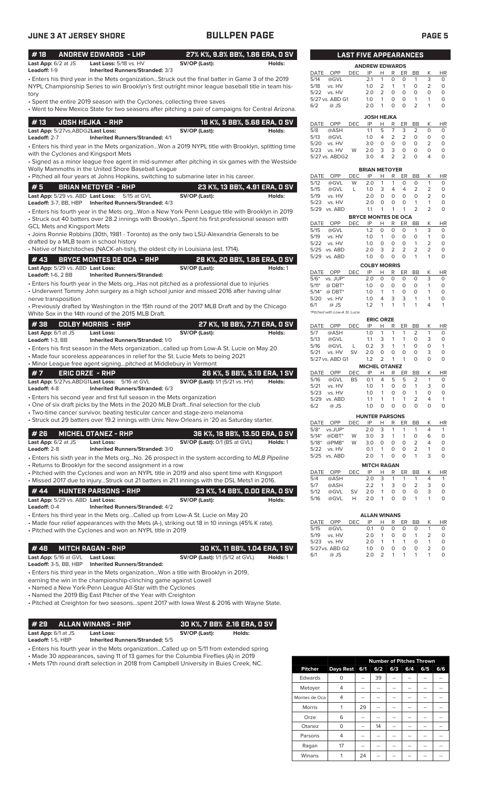|--|--|--|

| <b>JUNE 3 AT JERSEY SHORE</b>                       |                                                                                                                                | <b>BULLPEN PAGE</b>                                                                                                                                                                                     |                                                                                                                                                                                         | <b>PAGE 5</b>               |
|-----------------------------------------------------|--------------------------------------------------------------------------------------------------------------------------------|---------------------------------------------------------------------------------------------------------------------------------------------------------------------------------------------------------|-----------------------------------------------------------------------------------------------------------------------------------------------------------------------------------------|-----------------------------|
| #18                                                 | <b>ANDREW EDWARDS - LHP</b>                                                                                                    | 27% K%, 9.8% BB%, 1.86 ERA, 0 SV                                                                                                                                                                        | <b>LAST FIVE APPEARANCES</b>                                                                                                                                                            |                             |
| Last App: 6/2 at JS<br>Leadoff: 1-9                 | Last Loss: 5/18 vs. HV<br>Inherited Runners/Stranded: 3/3                                                                      | SV/OP (Last):<br>Holds:                                                                                                                                                                                 | <b>ANDREW EDWARDS</b><br>OPP<br><b>DEC</b><br>IP<br>R<br>DATE<br>Н<br>ER<br>BB<br>Κ                                                                                                     | <b>HR</b>                   |
|                                                     |                                                                                                                                | · Enters his third year in the Mets organizationStruck out the final batter in Game 3 of the 2019<br>NYPL Championship Series to win Brooklyn's first outright minor league baseball title in team his- | 3<br>5/14<br>@GVL<br>2.1<br>$\mathbf{1}$<br>$\circ$<br>$\mathbf{1}$<br>0<br>$\overline{2}$<br>5/18<br>vs. HV<br>1.0<br>2<br>$\mathbf{1}$<br>$\mathbf{1}$<br>$\circ$                     | $\circ$<br>$\circ$          |
| tory                                                | • Spent the entire 2019 season with the Cyclones, collecting three saves                                                       |                                                                                                                                                                                                         | 2<br>$\circ$<br>$\circ$<br>5/22 vs. HV<br>2.0<br>$\circ$<br>$\Omega$<br>5/27 vs. ABD G1<br>1.0<br>$\mathbf{1}$<br>0<br>$\circ$<br>$\mathbf{1}$<br>$\mathbf{1}$                          | $\circ$<br>$\circ$          |
|                                                     |                                                                                                                                | • Went to New Mexico State for two seasons after pitching a pair of campaigns for Central Arizona.                                                                                                      | $\Omega$<br>$\overline{2}$<br>$@$ JS<br>2.0<br>$\overline{1}$<br>$\circ$<br>$\mathbf{1}$<br>6/2                                                                                         | $\circ$                     |
| #13                                                 | <b>JOSH HEJKA - RHP</b>                                                                                                        | 16 K%, 5 BB%, 5.68 ERA, 0 SV                                                                                                                                                                            | <b>JOSH HEJKA</b><br>OPP<br><b>DEC</b><br>IP<br>Н<br>R<br>ER<br>K<br>DATE<br>BB                                                                                                         | <b>HR</b>                   |
| Last App: 5/27vs.ABDG2Last Loss:<br>Leadoff: 2-7    | <b>Inherited Runners/Stranded: 4/1</b>                                                                                         | SV/OP (Last):<br>Holds:                                                                                                                                                                                 | 5<br>7<br>3<br>5/8<br>@ASH<br>1.1<br>2<br>0<br>$\overline{2}$<br>2<br>5/13<br>$\circ$<br>0<br>@GVL<br>1.0<br>4                                                                          | $\circ$<br>$\circ$          |
| with the Cyclones and Kingsport Mets                |                                                                                                                                | . Enters his third year in the Mets organizationWon a 2019 NYPL title with Brooklyn, splitting time                                                                                                     | $\mathsf O$<br>$\circ$<br>vs. HV<br>3.0<br>$\circ$<br>$\circ$<br>2<br>5/20<br>3<br>$\circ$<br>3<br>$\circ$<br>$\circ$<br>5/23<br>vs. HV<br>W<br>2.0                                     | $\circ$<br>$\circ$          |
|                                                     |                                                                                                                                | · Signed as a minor league free agent in mid-summer after pitching in six games with the Westside                                                                                                       | 2<br>$\overline{4}$<br>$\overline{2}$<br>$\Omega$<br>$\overline{4}$<br>5/27 vs. ABDG2<br>3.0                                                                                            | $\circ$                     |
|                                                     | Wolly Mammoths in the United Shore Baseball League                                                                             | • Pitched all four years at Johns Hopkins, switching to submarine later in his career.                                                                                                                  | <b>BRIAN METOYER</b><br>Κ<br>DATE<br>OPP<br><b>DEC</b><br>IP<br>Н<br>R<br>ER<br>BB                                                                                                      | HR                          |
| #5                                                  | <b>BRIAN METOYER - RHP</b>                                                                                                     | 23 K%, 13 BB%, 4.91 ERA, 0 SV                                                                                                                                                                           | 5/12<br>2.0<br>$\mathbf{1}$<br>$\mathbf{1}$<br>$\circ$<br>$\mathbf{1}$<br>@GVL<br>W<br>0                                                                                                | $\circ$                     |
|                                                     | Last App: 5/29 vs. ABD Last Loss: 5/15 at GVL                                                                                  | SV/OP (Last):<br>Holds:                                                                                                                                                                                 | 5/15<br>@GVL<br>1.0<br>3<br>$\overline{4}$<br>4<br>2<br>2<br>L<br>$\circ$<br>$\circ$<br>$\circ$<br>$\overline{2}$<br>2.0<br>$\circ$<br>5/19<br>vs. HV                                   | $\circ$<br>$\circ$          |
|                                                     | Leadoff: 3-7, BB, HBP    Inherited Runners/Stranded: 4/3                                                                       |                                                                                                                                                                                                         | $\mathsf O$<br>$\circ$<br>$\mathbf{1}$<br>2.0<br>$\circ$<br>$\mathbf{1}$<br>5/23<br>vs. HV<br>$\mathbf{1}$<br>$\mathbf{1}$<br>2<br>2<br>5/29 vs. ABD<br>$\overline{1}$                  | $\circ$<br>$\circ$          |
|                                                     |                                                                                                                                | · Enters his fourth year in the Mets orgWon a New York Penn League title with Brooklyn in 2019                                                                                                          | 1.1<br><b>BRYCE MONTES DE OCA</b>                                                                                                                                                       |                             |
| <b>GCL Mets and Kingsport Mets</b>                  |                                                                                                                                | • Struck out 40 batters over 28.2 innings with BrooklynSpent his first professional season with                                                                                                         | OPP<br><b>DEC</b><br>IP<br>R<br>ER<br>BB<br>K<br>DATE<br>H                                                                                                                              | <b>HR</b>                   |
|                                                     |                                                                                                                                | • Joins Ronnie Robbins (30th, 1981 - Toronto) as the only two LSU-Alexandria Generals to be                                                                                                             | $\circ$<br>0<br>$\circ$<br>3<br>5/15<br>@GVL<br>1.2<br>$\mathbf{1}$<br>5/19<br>vs. HV<br>$\mathbf{1}$<br>$\circ$<br>$\circ$<br>$\circ$<br>$\mathbf{1}$<br>1.0                           | $\circ$<br>$\circ$          |
|                                                     | drafted by a MLB team in school history<br>• Native of Natchitoches (NACK-ah-tish), the oldest city in Louisiana (est. 1714).  |                                                                                                                                                                                                         | 1.0<br>$\circ$<br>0<br>$\circ$<br>$\mathbf{1}$<br>2<br>5/22 vs. HV<br>3<br>2<br>2<br>2<br>$\overline{2}$<br>5/25 vs. ABD<br>2.0                                                         | $\circ$<br>$\circ$          |
| #43                                                 | <b>BRYCE MONTES DE OCA - RHP</b>                                                                                               | 28 K%, 20 BB%, 1.86 ERA, 0 SV                                                                                                                                                                           | $\circ$<br>$\circ$<br>1.0<br>$\circ$<br>$\mathbf{1}$<br>$\mathbf{1}$<br>5/29 vs. ABD                                                                                                    | $\circ$                     |
| Last App: 5/29 vs. ABD Last Loss:                   |                                                                                                                                | SV/OP (Last):<br>Holds: 1                                                                                                                                                                               | <b>COLBY MORRIS</b>                                                                                                                                                                     |                             |
| <b>Leadoff: 1-6, 2 BB</b>                           | <b>Inherited Runners/Stranded:</b>                                                                                             |                                                                                                                                                                                                         | IP<br>DATE OPP<br><b>DEC</b><br>н<br>R<br>ER<br>BB<br>Κ<br>3<br>$5/6^*$ vs. JUP*<br>$\circ$<br>$\circ$<br>$\circ$<br>$\circ$<br>2.0                                                     | HR<br>$\circ$               |
|                                                     |                                                                                                                                | • Enters his fourth year in the Mets orgHas not pitched as a professional due to injuries                                                                                                               | 5/11* @ DBT*<br>$\circ$<br>0<br>$\circ$<br>$\circ$<br>1.0<br>$\mathbf{1}$                                                                                                               | $\circ$                     |
| nerve transposition                                 |                                                                                                                                | • Underwent Tommy John surgery as a high school junior and missed 2016 after having ulnar                                                                                                               | $\mathbf{1}$<br>$\mathbf{1}$<br>$\circ$<br>$\circ$<br>$5/14*$<br>$@$ DBT*<br>1.0<br>$\mathbf{1}$<br>3<br>3<br>$5/20$<br>1.0<br>$\overline{4}$<br>$\mathbf{1}$<br>vs. HV<br>$\mathbf{1}$ | $\circ$<br>$\circ$          |
|                                                     |                                                                                                                                | • Previously drafted by Washington in the 15th round of the 2017 MLB Draft and by the Chicago                                                                                                           | $\overline{1}$<br>$\overline{1}$<br>$\mathbf{1}$<br>$\mathbf{1}$<br>4<br>6/1<br>$@$ JS<br>1.2                                                                                           | $\mathbf{1}$                |
|                                                     | White Sox in the 14th round of the 2015 MLB Draft.                                                                             |                                                                                                                                                                                                         | *Pitched with Low-A St. Lucie<br><b>ERIC ORZE</b>                                                                                                                                       |                             |
| #38<br>Last App: 6/1 at JS                          | <b>COLBY MORRIS - RHP</b>                                                                                                      | 27 K%, 18 BB%, 7.71 ERA, 0 SV<br>SV/OP (Last):<br>Holds:                                                                                                                                                | IP<br>DATE<br>OPP<br><b>DEC</b><br>Н<br>R<br>ER<br>BB<br>Κ<br>5/7<br>1.0<br>$\mathbf{1}$<br>2<br>$\mathbf{1}$<br>@ASH<br>$\overline{1}$<br>$\overline{1}$                               | HR<br>$\circ$               |
| Leadoff: 1-3, BB                                    | <b>Last Loss:</b><br>Inherited Runners/Stranded: 1/0                                                                           |                                                                                                                                                                                                         | $\circ$<br>3<br>5/13<br>@GVL<br>1.1<br>3<br>1<br>$\mathbf{1}$                                                                                                                           | $\circ$                     |
|                                                     |                                                                                                                                | Enters his first season in the Mets organizationcalled up from Low-A St. Lucie on May 20                                                                                                                | 3<br>$\circ$<br>5/16<br>@GVL<br>0.2<br>$\mathbf{1}$<br>$\mathbf{1}$<br>$\circ$<br>L<br>5/21 vs. HV<br>SV<br>2.0<br>0<br>0<br>0<br>3<br>0                                                | $\mathbf{1}$<br>0           |
|                                                     | • Minor League free agent signingpitched at Middlebury in Vermont                                                              | • Made four scoreless appearances in relief for the St. Lucie Mets to being 2021                                                                                                                        | $\circ$<br>$\circ$<br>5/27 vs. ABD G1<br>1.2<br>2<br>$\mathbf{1}$<br>$\mathbf{1}$                                                                                                       | $\circ$                     |
| #7                                                  | <b>ERIC ORZE - RHP</b>                                                                                                         | 26 K%, 5 BB%, 5.19 ERA, 1 SV                                                                                                                                                                            | <b>MICHEL OTANEZ</b><br>IP<br>К<br>OPP<br>DEC<br>$\mathsf{R}$<br>ER<br>DATE<br>Н<br>BB                                                                                                  | HR                          |
|                                                     | Last App: 5/27vs.ABDG1Last Loss: 5/16 at GVL                                                                                   | <b>SV/OP (Last):</b> 1/1 (5/21 vs. HV)<br>Holds:                                                                                                                                                        | 5<br>2<br>$\mathbf{1}$<br>5/16<br>@GVL<br><b>BS</b><br>0.1<br>4<br>5                                                                                                                    | $\circ$                     |
| Leadoff: 4-8                                        | Inherited Runners/Stranded: 6/3                                                                                                |                                                                                                                                                                                                         | 5/21<br>vs. HV<br>0<br>0<br>$\mathbf{1}$<br>3<br>1.0<br>$\overline{1}$<br>0<br>$\mathbf{1}$<br>5/23<br>vs. HV<br>1.0<br>0<br>0<br>1                                                     | 0<br>$\circ$                |
|                                                     | • Enters his second year and first full season in the Mets organization                                                        | • One of six draft picks by the Mets in the 2020 MLB Draftfinal selection for the club                                                                                                                  | 2<br>5/29 vs. ABD<br>$\mathbf{1}$<br>$\mathbf{1}$<br>1<br>4<br>1.1<br>$\mathbf 0$<br>$\circ$<br>$\circ$<br>$\circ$<br>$\circ$                                                           | $\mathbf{1}$<br>$\mathsf O$ |
|                                                     | • Two-time cancer survivor, beating testicular cancer and stage-zero melanoma                                                  |                                                                                                                                                                                                         | 1.0<br>6/2<br>@ JS                                                                                                                                                                      |                             |
|                                                     |                                                                                                                                | • Struck out 29 batters over 19.2 innings with Univ. New Orleans in '20 as Saturday starter.                                                                                                            | <b>HUNTER PARSONS</b><br>DATE OPP<br><b>DEC</b><br>IP<br>R<br>BB<br>К<br>Н<br>ER                                                                                                        | HR                          |
| #26                                                 | <b>MICHEL OTANEZ - RHP</b>                                                                                                     | 36 K%, 18 BB%, 13.50 ERA, 0 SV                                                                                                                                                                          | vs.JUP*<br>2.0<br>3<br>1<br>4<br>$5/8^*$<br>1<br>1<br>$5/14*$<br>@DBT*<br>W<br>3.0<br>3<br>$\mathbf{1}$<br>1<br>0<br>6                                                                  | $\mathbf{1}$<br>$\circ$     |
| Last App: 6/2 at JS                                 | <b>Last Loss:</b>                                                                                                              | SV/OP (Last): 0/1 (BS at GVL)<br>Holds: 1                                                                                                                                                               | 0<br>$\overline{2}$<br>$5/18*$<br>W<br>3.0<br>0<br>0<br>4<br>$@PMB*$                                                                                                                    | 0                           |
| Leadoff: 2-8                                        | Inherited Runners/Stranded: 3/0                                                                                                |                                                                                                                                                                                                         | $\overline{2}$<br>$\mathbf{1}$<br>0<br>0<br>5/22<br>vs. HV<br>0.1<br>1<br>$\circ$<br>3<br>5/25 vs. ABD<br>2.0<br>$\overline{1}$<br>0<br>$\mathbf{1}$                                    | 0<br>0                      |
|                                                     | • Returns to Brooklyn for the second assignment in a row                                                                       | • Enters his sixth year in the Mets orgNo. 26 prospect in the system according to MLB Pipeline                                                                                                          | <b>MITCH RAGAN</b>                                                                                                                                                                      |                             |
|                                                     |                                                                                                                                | • Pitched with the Cyclones and won an NYPL title in 2019 and also spent time with Kingsport                                                                                                            | DATE OPP<br><b>DEC</b><br>IP<br>R<br>ER<br>BB<br>К<br>н                                                                                                                                 | <b>HR</b>                   |
|                                                     |                                                                                                                                | . Missed 2017 due to injuryStruck out 21 batters in 21.1 innings with the DSL Mets1 in 2016.                                                                                                            | 3<br>4<br>5/4<br>@ASH<br>2.0<br>$\mathbf{1}$<br>1<br>1<br>0<br>2<br>5/7<br>@ASH<br>2.2<br>1<br>3<br>3                                                                                   | $\mathbf{1}$<br>$\circ$     |
| #44                                                 | <b>HUNTER PARSONS - RHP</b>                                                                                                    | 23 K%, 14 BB%, 0.00 ERA, 0 SV                                                                                                                                                                           | $\mathbf 0$<br>$\mathbf 0$<br>0<br>5/12<br>@GVL<br><b>SV</b><br>2.0<br>1<br>3<br>$\mathbf{1}$<br>$\mathbf{1}$<br>1                                                                      | 0                           |
| Last App: 5/29 vs. ABD Last Loss:<br>Leadoff: $0-4$ | <b>Inherited Runners/Stranded: 4/2</b>                                                                                         | SV/OP (Last):<br>Holds:                                                                                                                                                                                 | Н<br>$\circ$<br>$\mathbf 0$<br>5/16<br>2.0<br>@GVL                                                                                                                                      | $\circ$                     |
|                                                     |                                                                                                                                | • Enters his third year in the Mets orgCalled up from Low-A St. Lucie on May 20                                                                                                                         | <b>ALLAN WINANS</b>                                                                                                                                                                     |                             |
|                                                     |                                                                                                                                | • Made four relief appearances with the Mets (A-), striking out 18 in 10 innings (45% K rate).                                                                                                          | Κ<br>OPP<br><b>DEC</b><br>IP<br>ER<br>BB<br>DATE<br>H<br>R<br>5/15<br>@GVL<br>0.1<br>0<br>0<br>0<br>0<br>1                                                                              | <b>HR</b><br>0              |
|                                                     | • Pitched with the Cyclones and won an NYPL title in 2019                                                                      |                                                                                                                                                                                                         | 5/19<br>vs. HV<br>2.0<br>0<br>0<br>1<br>2<br>$\overline{1}$                                                                                                                             | $\circ$                     |
| #48                                                 | <b>MITCH RAGAN - RHP</b>                                                                                                       | 30 K%, 11 BB%, 1.04 ERA, 1 SV                                                                                                                                                                           | $\mathbf{1}$<br>$\circ$<br>5/23<br>vs. HV<br>2.0<br>$\overline{1}$<br>$\mathbf{1}$<br>$\mathbf{1}$<br>$\circ$<br>$\circ$<br>0<br>$\overline{2}$<br>5/27 vs. ABD G2<br>1.0<br>0          | $\circ$<br>$\circ$          |
| Last App: 5/16 at GVL                               | <b>Last Loss:</b><br>Leadoff: 3-5, BB, HBP    Inherited Runners/Stranded:                                                      | <b>SV/OP (Last):</b> 1/1 (5/12 at GVL)<br>Holds: 1                                                                                                                                                      | 2<br>$\mathbf{1}$<br>$\mathbf{1}$<br>$\mathbf{1}$<br>$\mathbf{1}$<br>2.0<br>6/1<br>@ JS                                                                                                 | $\circ$                     |
|                                                     |                                                                                                                                | • Enters his third year in the Mets organizationWon a title with Brooklyn in 2019,                                                                                                                      |                                                                                                                                                                                         |                             |
|                                                     | earning the win in the championship-clinching game against Lowell<br>• Named a New York-Penn League All-Star with the Cyclones |                                                                                                                                                                                                         |                                                                                                                                                                                         |                             |
|                                                     | • Named the 2019 Big East Pitcher of the Year with Creighton                                                                   |                                                                                                                                                                                                         |                                                                                                                                                                                         |                             |
|                                                     |                                                                                                                                | . Pitched at Creighton for two seasonsspent 2017 with lowa West & 2016 with Wayne State.                                                                                                                |                                                                                                                                                                                         |                             |
| # 29                                                | <b>ALLAN WINANS - RHP</b>                                                                                                      | 30 K%, 7 BB% 2.16 ERA, 0 SV                                                                                                                                                                             |                                                                                                                                                                                         |                             |
|                                                     |                                                                                                                                |                                                                                                                                                                                                         |                                                                                                                                                                                         |                             |

• Enters his fourth year in the Mets organization...Called up on 5/11 from extended spring

• Made 30 appearances, saving 11 of 13 games for the Columbia Fireflies (A) in 2019 • Mets 17th round draft selection in 2018 from Campbell University in Buies Creek, NC.

|                |                  |     | <b>Number of Pitches Thrown</b> |     |     |     |     |
|----------------|------------------|-----|---------------------------------|-----|-----|-----|-----|
| <b>Pitcher</b> | <b>Days Rest</b> | 6/1 | 6/2                             | 6/3 | 6/4 | 6/5 | 6/6 |
| Edwards        | ი                |     | 39                              |     |     |     |     |
| Metoyer        | 4                |     |                                 |     |     |     |     |
| Montes de Oca  | 4                | --  | --                              | --  | --  | --  |     |
| <b>Morris</b>  |                  | 29  |                                 |     |     |     |     |
| Orze           | 6                |     |                                 |     |     |     |     |
| Otanez         | O                | --  | 14                              | --  | --  | --  |     |
| Parsons        | 4                |     | --                              | --  | --  | --  |     |
| Ragan          | 17               |     | --                              | --  |     |     |     |
| Winans         |                  | 24  |                                 | --  |     |     |     |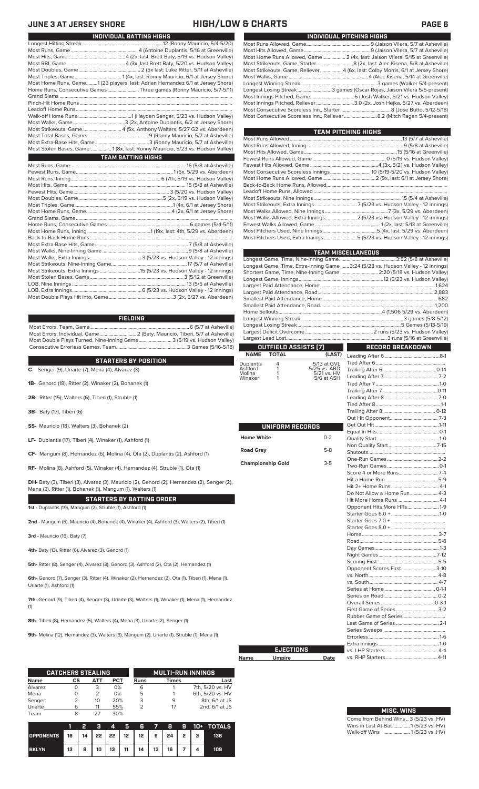Pinch-Hit Home Runs. Leadoff Home Runs...<br>Walk-off Home Runs.

## **JUNE 3 AT JERSEY SHORE HIGH/LOW & CHARTS PAGE 6**

| INDIVIDUAL PITCHING HIGHS                                                      |
|--------------------------------------------------------------------------------|
|                                                                                |
|                                                                                |
| Most Home Runs Allowed, Game 2 (4x, last: Jaison Vilera, 5/15 at Greenville)   |
|                                                                                |
| Most Strikeouts, Game, Reliever4 (6x, last: Colby Morris, 6/1 at Jersey Shore) |
|                                                                                |
|                                                                                |
| Longest Losing Streak3 games (Oscar Rojas, Jaison Vilera 5/5-present)          |
|                                                                                |
| Most Innings Pitched, Reliever 3.0 (2x, Josh Hejka, 5/27 vs. Aberdeen)         |
|                                                                                |
|                                                                                |
|                                                                                |

| TEAM PITCHING HIGHS                                                       |  |
|---------------------------------------------------------------------------|--|
|                                                                           |  |
|                                                                           |  |
|                                                                           |  |
|                                                                           |  |
|                                                                           |  |
|                                                                           |  |
|                                                                           |  |
|                                                                           |  |
|                                                                           |  |
|                                                                           |  |
|                                                                           |  |
|                                                                           |  |
| Most Walks Allowed, Extra Innings 2 (5/23 vs. Hudson Valley - 12 innings) |  |
|                                                                           |  |
|                                                                           |  |
| Most Pitchers Used, Extra Innings5 (5/23 vs. Hudson Valley - 12 innings)  |  |
|                                                                           |  |

| <b>TEAM MISCELLANEOUS</b> |                                      |                             |                                                                                  |  |  |  |
|---------------------------|--------------------------------------|-----------------------------|----------------------------------------------------------------------------------|--|--|--|
|                           |                                      |                             |                                                                                  |  |  |  |
|                           |                                      |                             | Longest Game, Time, Extra-Inning Game 3:24 (5/23 vs. Hudson Valley - 12 innings) |  |  |  |
|                           |                                      |                             | Shortest Game, Time, Nine-Inning Game  2:20 (5/18 vs. Hudson Valley)             |  |  |  |
|                           |                                      |                             |                                                                                  |  |  |  |
|                           |                                      |                             |                                                                                  |  |  |  |
|                           |                                      |                             |                                                                                  |  |  |  |
|                           |                                      |                             |                                                                                  |  |  |  |
|                           |                                      |                             |                                                                                  |  |  |  |
|                           |                                      |                             |                                                                                  |  |  |  |
|                           |                                      |                             |                                                                                  |  |  |  |
|                           |                                      |                             |                                                                                  |  |  |  |
|                           |                                      |                             |                                                                                  |  |  |  |
| <b>NAME</b>               | OUTFIELD ASSISTS (7)<br><b>TOTAL</b> |                             | RECORD BREAKDOWN                                                                 |  |  |  |
|                           |                                      | (LAST)                      |                                                                                  |  |  |  |
| Duplantis<br>Ashford      | 4<br>1                               | 5/13 at GVL<br>5/25 vs. ABD |                                                                                  |  |  |  |
| Molina                    | 1                                    | 5/21 vs. HV                 |                                                                                  |  |  |  |
| Winaker                   | 1                                    | 5/6 at ASH                  |                                                                                  |  |  |  |
|                           |                                      |                             |                                                                                  |  |  |  |
|                           |                                      |                             |                                                                                  |  |  |  |
|                           |                                      |                             |                                                                                  |  |  |  |
|                           |                                      |                             |                                                                                  |  |  |  |
|                           |                                      |                             |                                                                                  |  |  |  |
|                           | UNIFORM RECORDS                      |                             |                                                                                  |  |  |  |
|                           |                                      |                             |                                                                                  |  |  |  |
| <b>Home White</b>         |                                      | $0 - 2$                     |                                                                                  |  |  |  |
|                           |                                      |                             |                                                                                  |  |  |  |
| <b>Road Gray</b>          |                                      | $5-8$                       |                                                                                  |  |  |  |
|                           | <b>Championship Gold</b>             | $3 - 5$                     |                                                                                  |  |  |  |
|                           |                                      |                             |                                                                                  |  |  |  |
|                           |                                      |                             |                                                                                  |  |  |  |
|                           |                                      |                             |                                                                                  |  |  |  |
|                           |                                      |                             |                                                                                  |  |  |  |
|                           |                                      |                             | Do Not Allow a Home Run 4-3<br>Hit More Home Runs  4-1                           |  |  |  |
|                           |                                      |                             | Opponent Hits More HRs1-9                                                        |  |  |  |
|                           |                                      |                             |                                                                                  |  |  |  |
|                           |                                      |                             |                                                                                  |  |  |  |
|                           |                                      |                             |                                                                                  |  |  |  |
|                           |                                      |                             |                                                                                  |  |  |  |
|                           |                                      |                             |                                                                                  |  |  |  |
|                           |                                      |                             |                                                                                  |  |  |  |
|                           |                                      |                             |                                                                                  |  |  |  |
|                           |                                      |                             |                                                                                  |  |  |  |
|                           |                                      |                             | Opponent Scores First3-10                                                        |  |  |  |
|                           |                                      |                             |                                                                                  |  |  |  |
|                           |                                      |                             |                                                                                  |  |  |  |
|                           |                                      |                             |                                                                                  |  |  |  |
|                           |                                      |                             |                                                                                  |  |  |  |
|                           |                                      |                             |                                                                                  |  |  |  |
|                           |                                      |                             |                                                                                  |  |  |  |
|                           |                                      |                             |                                                                                  |  |  |  |
|                           |                                      |                             |                                                                                  |  |  |  |
|                           |                                      |                             |                                                                                  |  |  |  |
|                           |                                      |                             |                                                                                  |  |  |  |
|                           | <b>EJECTIONS</b>                     |                             |                                                                                  |  |  |  |
| Name                      | <b>Umpire</b>                        | Date                        |                                                                                  |  |  |  |

| <b>MISC. WINS</b>                      |
|----------------------------------------|
| Come from Behind Wins  3 (5/23 vs. HV) |
| Wins in Last At-Bat 1(5/23 vs. HV)     |
| Walk-off Wins  1(5/23 vs. HV)          |

Longest Hitting Streak ................................................................12 (Ronny Mauricio, 5/4-5/20) Most Runs, Game ..................................................... 4 (Antoine Duplantis, 5/16 at Greenville) Most Hits, Game.. ...........................................4 (2x, last: Brett Baty, 5/19 vs. Hudson Valley) Most RBI, Game ..............................................4 (3x, last Brett Baty, 5/20 vs. Hudson Valley) Most Doubles, Game................................................. 2 (5x last: Luke Ritter, 5/11 at Asheville) Most Triples, Game..................................... 1 (4x, last: Ronny Mauricio, 6/1 at Jersey Shore) Most Home Runs, Game.........1 (23 players, last: Adrian Hernandez 6/1 at Jersey Shore) Home Runs, Consecutive Games .........................Three games (Ronny Mauricio, 5/7-5/11) Grand Slams .........................................................................................................................................

**INDIVIDUAL BATTING HIGHS**

Walk-off Home Runs...........................................1 (Hayden Senger, 5/23 vs. Hudson Valley) Most Walks, Game ........................................ 3 (2x, Antoine Duplantis, 6/2 at Jersey Shore) Most Strikeouts, Game............................... 4 (5x, Anthony Walters, 5/27 G2 vs. Aberdeen) Most Total Bases, Game..................................................9 (Ronny Mauricio, 5/7 at Asheville) Most Extra-Base Hits, Game...........................................3 (Ronny Mauricio, 5/7 at Asheville) Most Stolen Bases, Game ................ 1 (8x, last: Ronny Mauricio, 5/23 vs. Hudson Valley)

Most Runs, Game ........................................................................................... 16 (5/8 at Asheville) Fewest Runs, Game.............................................................................1 (6x, 5/29 vs. Aberdeen)

**TEAM BATTING HIGHS**

6 (7th, 5/19 vs. Hudson Valley)

### **FIELDING**

Most Errors, Team, Game...............................................................................6 (5/7 at Asheville) Most Errors, Individual, Game............................. 2 (Baty, Mauricio, Tiberi, 5/7 at Asheville) Most Double Plays Turned, Nine-Inning Game.......................... 3 (5/19 vs. Hudson Valley) Consecutive Errorless Games, Team.

### **STARTERS BY POSITION**

**C-** Senger (9), Uriarte (7), Mena (4), Alvarez (3)

- **1B-** Genord (18), Ritter (2), Winaker (2), Bohanek (1)
- **2B-** Ritter (15), Walters (6), Tiberi (1), Struble (1)
- **3B-** Baty (17), Tiberi (6)
- **SS-** Mauricio (18), Walters (3), Bohanek (2)
- **LF-** Duplantis (17), Tiberi (4), Winaker (1), Ashford (1)
- **CF-** Mangum (8), Hernandez (6), Molina (4), Ota (2), Duplantis (2), Ashford (1)

**RF-** Molina (8), Ashford (5), Winaker (4), Hernandez (4), Struble (1), Ota (1)

**DH-** Baty (3), Tiberi (3), Alvarez (3), Mauricio (2), Genord (2), Hernandez (2), Senger (2), Mena (2), Ritter (1), Bohanek (1), Mangum (1), Walters (1)

**STARTERS BY BATTING ORDER**

**1st -** Duplantis (19), Mangum (2), Struble (1), Ashford (1)

**2nd -** Mangum (5), Mauricio (4), Bohanek (4), Winaker (4), Ashford (3), Walters (2), Tiberi (1)

**3rd -** Mauricio (16), Baty (7)

**4th-** Baty (13), Ritter (6), Alvarez (3), Genord (1)

**5th-** Ritter (8), Senger (4), Alvarez (3), Genord (3), Ashford (2), Ota (2), Hernandez (1)

**6th-** Genord (7), Senger (3), Ritter (4), Winaker (2), Hernandez (2), Ota (1), Tiberi (1), Mena (1), Uriarte (1), Ashford (1)

**7th-** Genord (9), Tiberi (4), Senger (3), Uriarte (3), Walters (1), Winaker (1), Mena (1), Hernandez (1)

**8th-** Tiberi (8), Hernandez (5), Walters (4), Mena (3), Uriarte (2), Senger (1)

**9th-** Molina (12), Hernandez (3), Walters (3), Mangum (2), Uriarte (1), Struble (1), Mena (1)

|             | <b>CATCHERS STEALING</b> |     |            |      | <b>MULTI-RUN INNINGS</b> |                  |
|-------------|--------------------------|-----|------------|------|--------------------------|------------------|
| <b>Name</b> | СS                       | АТТ | <b>PCT</b> | Runs | <b>Times</b>             | Last             |
| Alvarez     |                          | 3   | 0%         | 6    |                          | 7th, 5/20 vs. HV |
| Mena        |                          | 2   | 0%         | 5    |                          | 6th, 5/20 vs. HV |
| Senger      |                          | 10  | 20%        | 3    | 9                        | 8th, 6/1 at JS   |
| Uriarte     | 6                        | 11  | 55%        |      | 17                       | 2nd, 6/1 at JS   |
| Team        | 8                        | フフ  | 30%        |      |                          |                  |

|                                                        |    |   |    | $\boldsymbol{\Lambda}$ | 45 R |    |    |    |  | $7$ 8 9 10+ TOTALS |
|--------------------------------------------------------|----|---|----|------------------------|------|----|----|----|--|--------------------|
| OPPONENTS 16   14   22   22   12   12   9   24   2   3 |    |   |    |                        |      |    |    |    |  | 136                |
| <b>BKLYN</b>                                           | 13 | 8 | 10 | 13 <sup>13</sup>       | 11   | 14 | 13 | 16 |  | 109                |

| UNIFORM RECORDS          |         |  |  |  |  |
|--------------------------|---------|--|--|--|--|
| <b>Home White</b>        | $0 - 2$ |  |  |  |  |
| <b>Road Gray</b>         | $5-8$   |  |  |  |  |
| <b>Championship Gold</b> |         |  |  |  |  |
|                          |         |  |  |  |  |
|                          |         |  |  |  |  |
|                          |         |  |  |  |  |
|                          |         |  |  |  |  |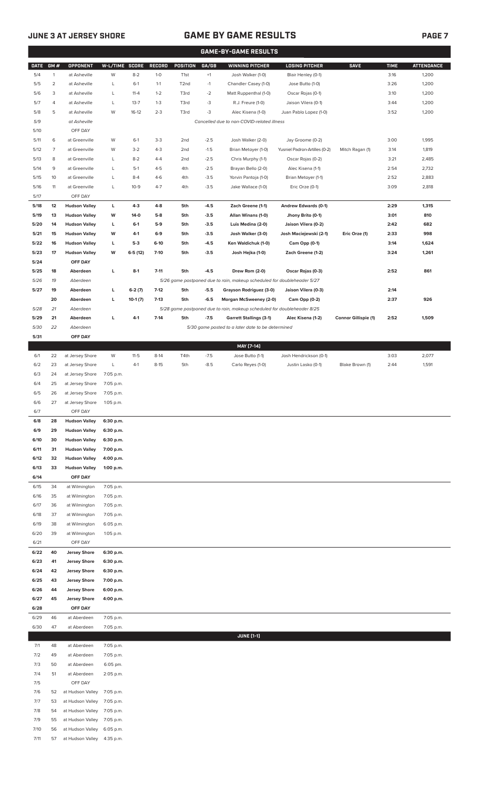# **JUNE 3 AT JERSEY SHORE GAME BY GAME RESULTS PAGE 7**

|             |                |                                    |                |           |          |                   |        | <b>GAME-BY-GAME RESULTS</b>                                             |                                              |                      |             |                   |
|-------------|----------------|------------------------------------|----------------|-----------|----------|-------------------|--------|-------------------------------------------------------------------------|----------------------------------------------|----------------------|-------------|-------------------|
| <b>DATE</b> | GM#            | <b>OPPONENT</b>                    | W-L/TIME SCORE |           | RECORD   | <b>POSITION</b>   | GA/GB  | <b>WINNING PITCHER</b>                                                  | <b>LOSING PITCHER</b>                        | <b>SAVE</b>          | <b>TIME</b> | <b>ATTENDANCE</b> |
| 5/4         | $\mathbf{1}$   | at Asheville                       | W              | $8 - 2$   | $1-0$    | T <sub>1st</sub>  | $+1$   | Josh Walker (1-0)                                                       | Blair Henley (0-1)                           |                      | 3:16        | 1,200             |
| 5/5         | $\overline{c}$ | at Asheville                       | L              | $6-1$     | $1 - 1$  | T <sub>2</sub> nd | $-1$   | Chandler Casey (1-0)                                                    | Jose Butto (1-0)                             |                      | 3:26        | 1,200             |
| 5/6         | 3              | at Asheville                       | L              | $11 - 4$  | $1 - 2$  | T3rd              | $-2$   | Matt Ruppenthal (1-0)                                                   | Oscar Rojas (0-1)                            |                      | 3:10        | 1,200             |
| 5/7         | 4              | at Asheville                       | L              | $13 - 7$  | $1 - 3$  | T3rd              | -3     | R.J. Freure (1-0)                                                       | Jaison Vilera (0-1)                          |                      | 3:44        | 1,200             |
| 5/8         | 5              | at Asheville                       | W              | $16-12$   | $2 - 3$  | T3rd              | -3     | Alec Kisena (1-0)                                                       | Juan Pablo Lopez (1-0)                       |                      | 3:52        | 1,200             |
| 5/9         |                | at Asheville                       |                |           |          |                   |        | Cancelled due to non-COVID-related illness                              |                                              |                      |             |                   |
| 5/10        |                | OFF DAY                            |                |           |          |                   |        |                                                                         |                                              |                      |             |                   |
| 5/11        | 6              | at Greenville                      | W              | $6-1$     | $3-3$    | 2 <sub>nd</sub>   | $-2.5$ | Josh Walker (2-0)                                                       | Jay Groome (0-2)                             |                      | 3:00        | 1,995             |
| 5/12        | $\overline{7}$ | at Greenville                      | W              | $3-2$     | $4 - 3$  | 2nd               | $-1.5$ | Brian Metoyer (1-0)                                                     | Yusniel Padron-Artilles (0-2)                | Mitch Ragan (1)      | 3:14        | 1,819             |
| 5/13        | 8              | at Greenville                      | L              | $8 - 2$   | $4 - 4$  | 2 <sub>nd</sub>   | $-2.5$ | Chris Murphy (1-1)                                                      | Oscar Rojas (0-2)                            |                      | 3:21        | 2,485             |
| 5/14        | 9              | at Greenville                      | L              | $5-1$     | $4 - 5$  | 4th               | $-2.5$ | Brayan Bello (2-0)                                                      | Alec Kisena (1-1)                            |                      | 2:54        | 2,732             |
| 5/15        | 10             | at Greenville                      | L              | $8 - 4$   | $4-6$    | 4th               | $-3.5$ | Yorvin Pantoja (1-0)                                                    | Brian Metoyer (1-1)                          |                      | 2:52        | 2,883             |
| 5/16        | 11             | at Greenville                      | L              | $10-9$    | $4 - 7$  | 4th               | $-3.5$ | Jake Wallace (1-0)                                                      | Eric Orze (0-1)                              |                      | 3:09        | 2,818             |
| 5/17        |                | OFF DAY                            |                |           |          |                   |        |                                                                         |                                              |                      |             |                   |
| 5/18        | 12             | <b>Hudson Valley</b>               | L              | $4 - 3$   | $4 - 8$  | 5th               | $-4.5$ | Zach Greene (1-1)                                                       | Andrew Edwards (0-1)                         |                      | 2:29        | 1,315             |
| 5/19        | 13             | <b>Hudson Valley</b>               | W              | $14-0$    | $5-8$    | 5th               | $-3.5$ | Allan Winans (1-0)                                                      | Jhony Brito (0-1)                            |                      | 3:01        | 810               |
| 5/20        | 14             | <b>Hudson Valley</b>               | L              | $6-1$     | $5-9$    | 5th               | $-3.5$ | Luis Medina (2-0)                                                       | Jaison Vilera (0-2)                          |                      | 2:42        | 682               |
| 5/21        | 15             | <b>Hudson Valley</b>               | W              | $4-1$     | $6-9$    | 5th               | $-3.5$ | Josh Walker (3-0)                                                       | Josh Maciejewski (2-1)                       | Eric Orze (1)        | 2:33        | 998               |
| 5/22        | 16             | <b>Hudson Valley</b>               | L              | $5-3$     | $6 - 10$ | 5th               | $-4.5$ | Ken Waldichuk (1-0)                                                     | Cam Opp (0-1)                                |                      | 3:14        | 1,624             |
| 5/23        | 17             | <b>Hudson Valley</b>               | W              | $6-5(12)$ | $7-10$   | 5th               | $-3.5$ | Josh Hejka (1-0)                                                        | Zach Greene (1-2)                            |                      | 3:24        | 1,261             |
| 5/24        |                | OFF DAY                            |                |           |          |                   |        |                                                                         |                                              |                      |             |                   |
| 5/25        | 18             | Aberdeen                           | L              | $8-1$     | $7 - 11$ | 5th               | $-4.5$ | Drew Rom (2-0)                                                          | Oscar Rojas (0-3)                            |                      | 2:52        | 861               |
| 5/26        | 19             | Aberdeen                           |                |           |          |                   |        | 5/26 game postponed due to rain, makeup scheduled for doubleheader 5/27 |                                              |                      |             |                   |
| 5/27        | 19             | Aberdeen                           | L              | $6-2(7)$  | $7-12$   | 5th               | $-5.5$ | Grayson Rodriguez (3-0)                                                 | Jaison Vilera (0-3)                          |                      | 2:14        |                   |
|             | 20             | Aberdeen                           | L              | $10-1(7)$ | $7-13$   | 5th               | $-6.5$ | Morgan McSweeney (2-0)                                                  | Cam Opp (0-2)                                |                      | 2:37        | 926               |
| 5/28        | 21             | Aberdeen                           |                |           |          |                   |        | 5/28 game postponed due to rain, makeup scheduled for doubleheader 8/25 |                                              |                      |             |                   |
| 5/29        | 21             | Aberdeen                           | L              | $4 - 1$   | $7-14$   | 5th               | $-7.5$ | <b>Garrett Stallings (3-1)</b>                                          | Alec Kisena (1-2)                            | Connor Gillispie (1) | 2:52        | 1,509             |
| 5/30        | 22             | Aberdeen                           |                |           |          |                   |        | 5/30 game posted to a later date to be determined                       |                                              |                      |             |                   |
| 5/31        |                | OFF DAY                            |                |           |          |                   |        |                                                                         |                                              |                      |             |                   |
| 6/1         | 22             |                                    | W              | $11 - 5$  | $8-14$   | T4th              | $-7.5$ | MAY [7-14]                                                              |                                              |                      | 3:03        | 2,077             |
| 6/2         | 23             | at Jersey Shore<br>at Jersey Shore | L              | $4-1$     | $8 - 15$ | 5th               | $-8.5$ | Jose Butto (1-1)<br>Carlo Reyes (1-0)                                   | Josh Hendrickson (0-1)<br>Justin Lasko (0-1) | Blake Brown (1)      | 2:44        | 1,591             |
| 6/3         | 24             | at Jersey Shore                    | 7:05 p.m.      |           |          |                   |        |                                                                         |                                              |                      |             |                   |
| 6/4         | 25             | at Jersey Shore                    | 7:05 p.m.      |           |          |                   |        |                                                                         |                                              |                      |             |                   |
| 6/5         | 26             | at Jersey Shore                    | 7:05 p.m.      |           |          |                   |        |                                                                         |                                              |                      |             |                   |
| 6/6         | 27             | at Jersey Shore                    | 1:05 p.m.      |           |          |                   |        |                                                                         |                                              |                      |             |                   |
| 6/7         |                | OFF DAY                            |                |           |          |                   |        |                                                                         |                                              |                      |             |                   |
| 6/8         | 28             | <b>Hudson Valley</b>               | 6:30 p.m.      |           |          |                   |        |                                                                         |                                              |                      |             |                   |
| 6/9         | 29             | <b>Hudson Valley</b>               | 6:30 p.m.      |           |          |                   |        |                                                                         |                                              |                      |             |                   |
| 6/10        | 30             | <b>Hudson Valley</b>               | 6:30 p.m.      |           |          |                   |        |                                                                         |                                              |                      |             |                   |
| 6/11        | 31             | <b>Hudson Valley</b>               | 7:00 p.m.      |           |          |                   |        |                                                                         |                                              |                      |             |                   |
| 6/12        | 32             | <b>Hudson Valley</b>               | 4:00 p.m.      |           |          |                   |        |                                                                         |                                              |                      |             |                   |
| 6/13        | 33             | <b>Hudson Valley</b>               | 1:00 p.m.      |           |          |                   |        |                                                                         |                                              |                      |             |                   |
| 6/14        |                | OFF DAY                            |                |           |          |                   |        |                                                                         |                                              |                      |             |                   |
| 6/15        | 34             | at Wilmington                      | 7:05 p.m.      |           |          |                   |        |                                                                         |                                              |                      |             |                   |
| 6/16        | 35             | at Wilmington                      | 7:05 p.m.      |           |          |                   |        |                                                                         |                                              |                      |             |                   |
| 6/17        | 36             | at Wilmington                      | 7:05 p.m.      |           |          |                   |        |                                                                         |                                              |                      |             |                   |
| 6/18        | 37             | at Wilmington                      | 7:05 p.m.      |           |          |                   |        |                                                                         |                                              |                      |             |                   |
| 6/19        | 38             | at Wilmington                      | 6:05 p.m.      |           |          |                   |        |                                                                         |                                              |                      |             |                   |
| 6/20        | 39             | at Wilmington                      | 1:05 p.m.      |           |          |                   |        |                                                                         |                                              |                      |             |                   |
| 6/21        |                | OFF DAY                            |                |           |          |                   |        |                                                                         |                                              |                      |             |                   |
| 6/22        | 40             | <b>Jersey Shore</b>                | 6:30 p.m.      |           |          |                   |        |                                                                         |                                              |                      |             |                   |
| 6/23        | 41             | <b>Jersey Shore</b>                | 6:30 p.m.      |           |          |                   |        |                                                                         |                                              |                      |             |                   |
| 6/24        | 42             | <b>Jersey Shore</b>                | 6:30 p.m.      |           |          |                   |        |                                                                         |                                              |                      |             |                   |
| 6/25        | 43             | <b>Jersey Shore</b>                | 7:00 p.m.      |           |          |                   |        |                                                                         |                                              |                      |             |                   |
| 6/26        | 44             | <b>Jersey Shore</b>                | 6:00 p.m.      |           |          |                   |        |                                                                         |                                              |                      |             |                   |
| 6/27        | 45             | <b>Jersey Shore</b>                | 4:00 p.m.      |           |          |                   |        |                                                                         |                                              |                      |             |                   |
| 6/28        |                | OFF DAY                            |                |           |          |                   |        |                                                                         |                                              |                      |             |                   |
| 6/29        | 46             | at Aberdeen                        | 7:05 p.m.      |           |          |                   |        |                                                                         |                                              |                      |             |                   |
| 6/30        | 47             | at Aberdeen                        | 7:05 p.m.      |           |          |                   |        |                                                                         |                                              |                      |             |                   |
|             |                |                                    |                |           |          |                   |        | <b>JUNE [1-1]</b>                                                       |                                              |                      |             |                   |
| 7/1         | 48             | at Aberdeen                        | 7:05 p.m.      |           |          |                   |        |                                                                         |                                              |                      |             |                   |
| 7/2         | 49             | at Aberdeen                        | 7:05 p.m.      |           |          |                   |        |                                                                         |                                              |                      |             |                   |
| 7/3         | 50             | at Aberdeen                        | 6:05 pm.       |           |          |                   |        |                                                                         |                                              |                      |             |                   |
| 7/4         | 51             | at Aberdeen                        | 2:05 p.m.      |           |          |                   |        |                                                                         |                                              |                      |             |                   |
| 7/5         |                | OFF DAY                            |                |           |          |                   |        |                                                                         |                                              |                      |             |                   |
| 7/6         | 52             | at Hudson Valley                   | 7:05 p.m.      |           |          |                   |        |                                                                         |                                              |                      |             |                   |
| 7/7         | 53             | at Hudson Valley                   | 7:05 p.m.      |           |          |                   |        |                                                                         |                                              |                      |             |                   |
| 7/8         | 54             | at Hudson Valley                   | 7:05 p.m.      |           |          |                   |        |                                                                         |                                              |                      |             |                   |
| 7/9         | 55             | at Hudson Valley                   | 7:05 p.m.      |           |          |                   |        |                                                                         |                                              |                      |             |                   |
| 7/10        | 56             | at Hudson Valley                   | 6:05 p.m.      |           |          |                   |        |                                                                         |                                              |                      |             |                   |
| 7/11        | 57             | at Hudson Valley                   | 4:35 p.m.      |           |          |                   |        |                                                                         |                                              |                      |             |                   |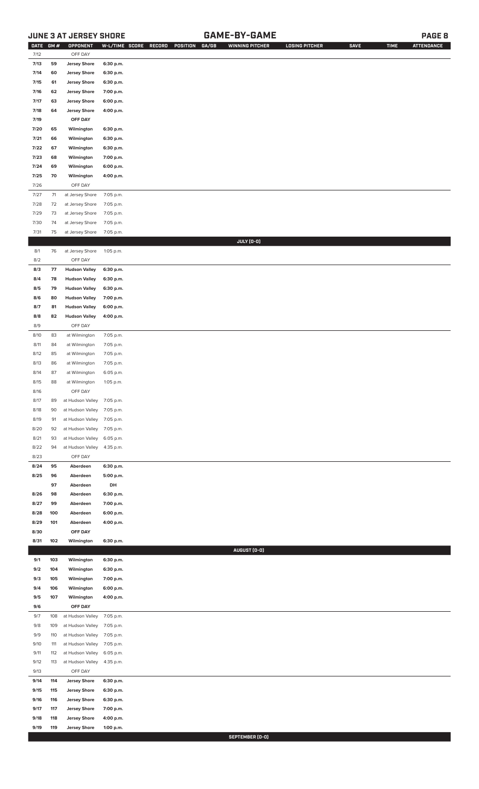# **JUNE 3 AT JERSEY SHORE GAME-BY-GAME PAGE 8**

| <b>DATE</b> | GM# | OPPONENT                   |           | W-L/TIME SCORE RECORD<br>POSITION<br>GA/GB | <b>WINNING PITCHER</b> | <b>LOSING PITCHER</b> | <b>SAVE</b> | <b>TIME</b> | <b>ATTENDANCE</b> |
|-------------|-----|----------------------------|-----------|--------------------------------------------|------------------------|-----------------------|-------------|-------------|-------------------|
| 7/12        |     | OFF DAY                    |           |                                            |                        |                       |             |             |                   |
| 7/13        | 59  | <b>Jersey Shore</b>        | 6:30 p.m. |                                            |                        |                       |             |             |                   |
| 7/14        | 60  | <b>Jersey Shore</b>        | 6:30 p.m. |                                            |                        |                       |             |             |                   |
| 7/15        | 61  | <b>Jersey Shore</b>        | 6:30 p.m. |                                            |                        |                       |             |             |                   |
| 7/16        | 62  | <b>Jersey Shore</b>        | 7:00 p.m. |                                            |                        |                       |             |             |                   |
| 7/17        | 63  | <b>Jersey Shore</b>        | 6:00 p.m. |                                            |                        |                       |             |             |                   |
| 7/18        | 64  | <b>Jersey Shore</b>        | 4:00 p.m. |                                            |                        |                       |             |             |                   |
|             |     |                            |           |                                            |                        |                       |             |             |                   |
| 7/19        |     | OFF DAY                    |           |                                            |                        |                       |             |             |                   |
| 7/20        | 65  | Wilmington                 | 6:30 p.m. |                                            |                        |                       |             |             |                   |
| 7/21        | 66  | Wilmington                 | 6:30 p.m. |                                            |                        |                       |             |             |                   |
| 7/22        | 67  | Wilmington                 | 6:30 p.m. |                                            |                        |                       |             |             |                   |
| 7/23        | 68  | Wilmington                 | 7:00 p.m. |                                            |                        |                       |             |             |                   |
| 7/24        | 69  | Wilmington                 | 6:00 p.m. |                                            |                        |                       |             |             |                   |
| 7/25        | 70  | Wilmington                 | 4:00 p.m. |                                            |                        |                       |             |             |                   |
| 7/26        |     | OFF DAY                    |           |                                            |                        |                       |             |             |                   |
| $7/27$      | 71  | at Jersey Shore            | 7:05 p.m. |                                            |                        |                       |             |             |                   |
| 7/28        | 72  | at Jersey Shore            | 7:05 p.m. |                                            |                        |                       |             |             |                   |
| 7/29        | 73  | at Jersey Shore            | 7:05 p.m. |                                            |                        |                       |             |             |                   |
| 7/30        | 74  | at Jersey Shore            | 7:05 p.m. |                                            |                        |                       |             |             |                   |
| 7/31        | 75  | at Jersey Shore            | 7:05 p.m. |                                            |                        |                       |             |             |                   |
|             |     |                            |           |                                            | JULY (0-0)             |                       |             |             |                   |
| 8/1         | 76  | at Jersey Shore            | 1:05 p.m. |                                            |                        |                       |             |             |                   |
| 8/2         |     | OFF DAY                    |           |                                            |                        |                       |             |             |                   |
| 8/3         | 77  | <b>Hudson Valley</b>       | 6:30 p.m. |                                            |                        |                       |             |             |                   |
| 8/4         | 78  | <b>Hudson Valley</b>       | 6:30 p.m. |                                            |                        |                       |             |             |                   |
| 8/5         | 79  | <b>Hudson Valley</b>       | 6:30 p.m. |                                            |                        |                       |             |             |                   |
| 8/6         | 80  | <b>Hudson Valley</b>       | 7:00 p.m. |                                            |                        |                       |             |             |                   |
| 8/7         | 81  | <b>Hudson Valley</b>       | 6:00 p.m. |                                            |                        |                       |             |             |                   |
| 8/8         | 82  | <b>Hudson Valley</b>       | 4:00 p.m. |                                            |                        |                       |             |             |                   |
| 8/9         |     | OFF DAY                    |           |                                            |                        |                       |             |             |                   |
| 8/10        | 83  | at Wilmington              | 7:05 p.m. |                                            |                        |                       |             |             |                   |
| 8/11        | 84  | at Wilmington              | 7:05 p.m. |                                            |                        |                       |             |             |                   |
| 8/12        | 85  | at Wilmington              | 7:05 p.m. |                                            |                        |                       |             |             |                   |
| 8/13        | 86  | at Wilmington              | 7:05 p.m. |                                            |                        |                       |             |             |                   |
| 8/14        | 87  | at Wilmington              | 6:05 p.m. |                                            |                        |                       |             |             |                   |
| 8/15        | 88  | at Wilmington              | 1:05 p.m. |                                            |                        |                       |             |             |                   |
| 8/16        |     | OFF DAY                    |           |                                            |                        |                       |             |             |                   |
| 8/17        | 89  | at Hudson Valley 7:05 p.m. |           |                                            |                        |                       |             |             |                   |
| 8/18        | 90  | at Hudson Valley           | 7:05 p.m. |                                            |                        |                       |             |             |                   |
| 8/19        | 91  | at Hudson Valley           | 7:05 p.m. |                                            |                        |                       |             |             |                   |
| 8/20        | 92  | at Hudson Valley           | 7:05 p.m. |                                            |                        |                       |             |             |                   |
| 8/21        | 93  | at Hudson Valley           | 6:05 p.m. |                                            |                        |                       |             |             |                   |
| 8/22        | 94  | at Hudson Valley           | 4:35 p.m. |                                            |                        |                       |             |             |                   |
| 8/23        |     | OFF DAY                    |           |                                            |                        |                       |             |             |                   |
| 8/24        | 95  | Aberdeen                   | 6:30 p.m. |                                            |                        |                       |             |             |                   |
| 8/25        | 96  | Aberdeen                   | 5:00 p.m. |                                            |                        |                       |             |             |                   |
|             | 97  | Aberdeen                   | DH        |                                            |                        |                       |             |             |                   |
| 8/26        | 98  | Aberdeen                   | 6:30 p.m. |                                            |                        |                       |             |             |                   |
| 8/27        | 99  | Aberdeen                   | 7:00 p.m. |                                            |                        |                       |             |             |                   |
| 8/28        | 100 | Aberdeen                   | 6:00 p.m. |                                            |                        |                       |             |             |                   |
| 8/29        | 101 | Aberdeen                   | 4:00 p.m. |                                            |                        |                       |             |             |                   |
| 8/30        |     | OFF DAY                    |           |                                            |                        |                       |             |             |                   |
| 8/31        | 102 | Wilmington                 | 6:30 p.m. |                                            |                        |                       |             |             |                   |
|             |     |                            |           |                                            | AUGUST (0-0)           |                       |             |             |                   |
| 9/1         | 103 | Wilmington                 | 6:30 p.m. |                                            |                        |                       |             |             |                   |
| 9/2         | 104 | Wilmington                 | 6:30 p.m. |                                            |                        |                       |             |             |                   |
| 9/3         | 105 | Wilmington                 | 7:00 p.m. |                                            |                        |                       |             |             |                   |
| 9/4         | 106 | Wilmington                 | 6:00 p.m. |                                            |                        |                       |             |             |                   |
| 9/5         | 107 | Wilmington                 | 4:00 p.m. |                                            |                        |                       |             |             |                   |
| 9/6         |     | OFF DAY                    |           |                                            |                        |                       |             |             |                   |
| 9/7         | 108 | at Hudson Valley           | 7:05 p.m. |                                            |                        |                       |             |             |                   |
| 9/8         | 109 | at Hudson Valley           | 7:05 p.m. |                                            |                        |                       |             |             |                   |
| 9/9         | 110 | at Hudson Valley           | 7:05 p.m. |                                            |                        |                       |             |             |                   |
| 9/10        | 111 | at Hudson Valley           | 7:05 p.m. |                                            |                        |                       |             |             |                   |
| 9/11        | 112 | at Hudson Valley           | 6:05 p.m. |                                            |                        |                       |             |             |                   |
| 9/12        | 113 | at Hudson Valley           | 4:35 p.m. |                                            |                        |                       |             |             |                   |
| 9/13        |     | OFF DAY                    |           |                                            |                        |                       |             |             |                   |
| 9/14        | 114 | <b>Jersey Shore</b>        | 6:30 p.m. |                                            |                        |                       |             |             |                   |
| 9/15        | 115 | <b>Jersey Shore</b>        | 6:30 p.m. |                                            |                        |                       |             |             |                   |
| 9/16        | 116 | <b>Jersey Shore</b>        | 6:30 p.m. |                                            |                        |                       |             |             |                   |
| 9/17        | 117 | <b>Jersey Shore</b>        | 7:00 p.m. |                                            |                        |                       |             |             |                   |
| 9/18        | 118 | <b>Jersey Shore</b>        | 4:00 p.m. |                                            |                        |                       |             |             |                   |
| 9/19        | 119 | <b>Jersey Shore</b>        | 1:00 p.m. |                                            |                        |                       |             |             |                   |

**SEPTEMBER (0-0)**